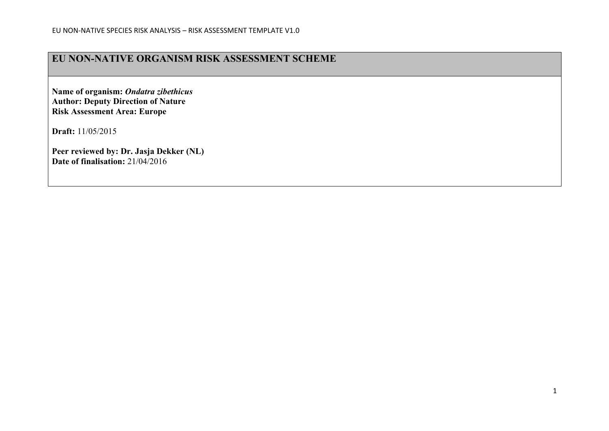## **EU NON-NATIVE ORGANISM RISK ASSESSMENT SCHEME**

**Name of organism:** *Ondatra zibethicus* **Author: Deputy Direction of Nature Risk Assessment Area: Europe**

**Draft:** 11/05/2015

**Peer reviewed by: Dr. Jasja Dekker (NL) Date of finalisation:** 21/04/2016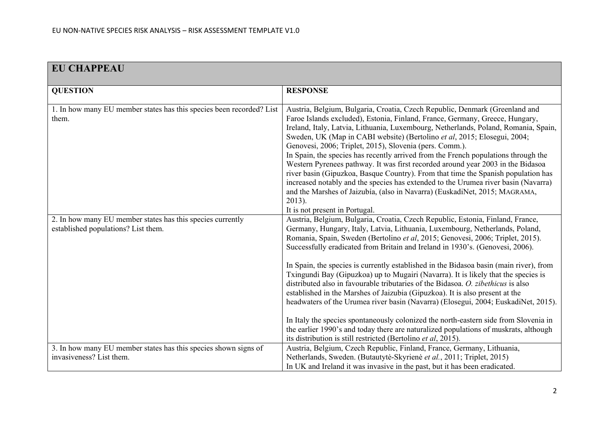| <b>EU CHAPPEAU</b>                                                                                |                                                                                                                                                                                                                                                                                                                                                                                                                                                                                                                                                                                                                                                                                                                                                                                                                                                                                                                                                                                                                              |
|---------------------------------------------------------------------------------------------------|------------------------------------------------------------------------------------------------------------------------------------------------------------------------------------------------------------------------------------------------------------------------------------------------------------------------------------------------------------------------------------------------------------------------------------------------------------------------------------------------------------------------------------------------------------------------------------------------------------------------------------------------------------------------------------------------------------------------------------------------------------------------------------------------------------------------------------------------------------------------------------------------------------------------------------------------------------------------------------------------------------------------------|
| <b>QUESTION</b>                                                                                   | <b>RESPONSE</b>                                                                                                                                                                                                                                                                                                                                                                                                                                                                                                                                                                                                                                                                                                                                                                                                                                                                                                                                                                                                              |
| 1. In how many EU member states has this species been recorded? List<br>them.                     | Austria, Belgium, Bulgaria, Croatia, Czech Republic, Denmark (Greenland and<br>Faroe Islands excluded), Estonia, Finland, France, Germany, Greece, Hungary,<br>Ireland, Italy, Latvia, Lithuania, Luxembourg, Netherlands, Poland, Romania, Spain,<br>Sweden, UK (Map in CABI website) (Bertolino et al, 2015; Elosegui, 2004;<br>Genovesi, 2006; Triplet, 2015), Slovenia (pers. Comm.).<br>In Spain, the species has recently arrived from the French populations through the<br>Western Pyrenees pathway. It was first recorded around year 2003 in the Bidasoa<br>river basin (Gipuzkoa, Basque Country). From that time the Spanish population has<br>increased notably and the species has extended to the Urumea river basin (Navarra)<br>and the Marshes of Jaizubía, (also in Navarra) (EuskadiNet, 2015; MAGRAMA,<br>2013).<br>It is not present in Portugal.                                                                                                                                                      |
| 2. In how many EU member states has this species currently<br>established populations? List them. | Austria, Belgium, Bulgaria, Croatia, Czech Republic, Estonia, Finland, France,<br>Germany, Hungary, Italy, Latvia, Lithuania, Luxembourg, Netherlands, Poland,<br>Romania, Spain, Sweden (Bertolino et al, 2015; Genovesi, 2006; Triplet, 2015).<br>Successfully eradicated from Britain and Ireland in 1930's. (Genovesi, 2006).<br>In Spain, the species is currently established in the Bidasoa basin (main river), from<br>Txingundi Bay (Gipuzkoa) up to Mugairi (Navarra). It is likely that the species is<br>distributed also in favourable tributaries of the Bidasoa. O. zibethicus is also<br>established in the Marshes of Jaizubia (Gipuzkoa). It is also present at the<br>headwaters of the Urumea river basin (Navarra) (Elosegui, 2004; EuskadiNet, 2015).<br>In Italy the species spontaneously colonized the north-eastern side from Slovenia in<br>the earlier 1990's and today there are naturalized populations of muskrats, although<br>its distribution is still restricted (Bertolino et al, 2015). |
| 3. In how many EU member states has this species shown signs of<br>invasiveness? List them.       | Austria, Belgium, Czech Republic, Finland, France, Germany, Lithuania,<br>Netherlands, Sweden. (Butautytė-Skyrienė et al., 2011; Triplet, 2015)<br>In UK and Ireland it was invasive in the past, but it has been eradicated.                                                                                                                                                                                                                                                                                                                                                                                                                                                                                                                                                                                                                                                                                                                                                                                                |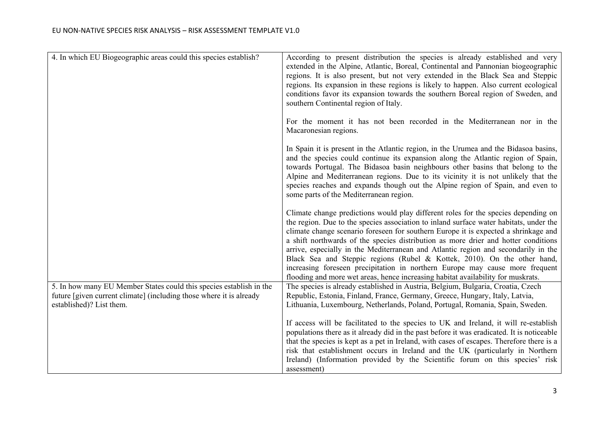| 4. In which EU Biogeographic areas could this species establish?                                                                                                       | According to present distribution the species is already established and very<br>extended in the Alpine, Atlantic, Boreal, Continental and Pannonian biogeographic<br>regions. It is also present, but not very extended in the Black Sea and Steppic<br>regions. Its expansion in these regions is likely to happen. Also current ecological<br>conditions favor its expansion towards the southern Boreal region of Sweden, and<br>southern Continental region of Italy.                                                                                                                                                                                                                      |
|------------------------------------------------------------------------------------------------------------------------------------------------------------------------|-------------------------------------------------------------------------------------------------------------------------------------------------------------------------------------------------------------------------------------------------------------------------------------------------------------------------------------------------------------------------------------------------------------------------------------------------------------------------------------------------------------------------------------------------------------------------------------------------------------------------------------------------------------------------------------------------|
|                                                                                                                                                                        | For the moment it has not been recorded in the Mediterranean nor in the<br>Macaronesian regions.                                                                                                                                                                                                                                                                                                                                                                                                                                                                                                                                                                                                |
|                                                                                                                                                                        | In Spain it is present in the Atlantic region, in the Urumea and the Bidasoa basins,<br>and the species could continue its expansion along the Atlantic region of Spain,<br>towards Portugal. The Bidasoa basin neighbours other basins that belong to the<br>Alpine and Mediterranean regions. Due to its vicinity it is not unlikely that the<br>species reaches and expands though out the Alpine region of Spain, and even to<br>some parts of the Mediterranean region.                                                                                                                                                                                                                    |
|                                                                                                                                                                        | Climate change predictions would play different roles for the species depending on<br>the region. Due to the species association to inland surface water habitats, under the<br>climate change scenario foreseen for southern Europe it is expected a shrinkage and<br>a shift northwards of the species distribution as more drier and hotter conditions<br>arrive, especially in the Mediterranean and Atlantic region and secondarily in the<br>Black Sea and Steppic regions (Rubel & Kottek, 2010). On the other hand,<br>increasing foreseen precipitation in northern Europe may cause more frequent<br>flooding and more wet areas, hence increasing habitat availability for muskrats. |
| 5. In how many EU Member States could this species establish in the<br>future [given current climate] (including those where it is already<br>established)? List them. | The species is already established in Austria, Belgium, Bulgaria, Croatia, Czech<br>Republic, Estonia, Finland, France, Germany, Greece, Hungary, Italy, Latvia,<br>Lithuania, Luxembourg, Netherlands, Poland, Portugal, Romania, Spain, Sweden.                                                                                                                                                                                                                                                                                                                                                                                                                                               |
|                                                                                                                                                                        | If access will be facilitated to the species to UK and Ireland, it will re-establish<br>populations there as it already did in the past before it was eradicated. It is noticeable<br>that the species is kept as a pet in Ireland, with cases of escapes. Therefore there is a<br>risk that establishment occurs in Ireland and the UK (particularly in Northern<br>Ireland) (Information provided by the Scientific forum on this species' risk<br>assessment)                                                                                                                                                                                                                                |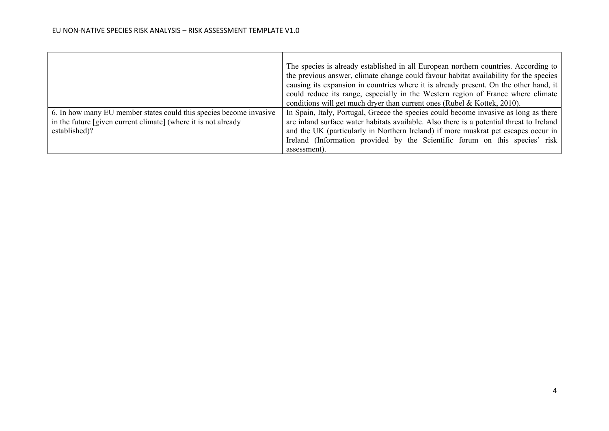|                                                                    | The species is already established in all European northern countries. According to      |
|--------------------------------------------------------------------|------------------------------------------------------------------------------------------|
|                                                                    | the previous answer, climate change could favour habitat availability for the species    |
|                                                                    | causing its expansion in countries where it is already present. On the other hand, it    |
|                                                                    | could reduce its range, especially in the Western region of France where climate         |
|                                                                    | conditions will get much dryer than current ones (Rubel & Kottek, 2010).                 |
| 6. In how many EU member states could this species become invasive | In Spain, Italy, Portugal, Greece the species could become invasive as long as there     |
| in the future [given current climate] (where it is not already     | are inland surface water habitats available. Also there is a potential threat to Ireland |
| established)?                                                      | and the UK (particularly in Northern Ireland) if more muskrat pet escapes occur in       |
|                                                                    | Ireland (Information provided by the Scientific forum on this species' risk              |
|                                                                    | assessment).                                                                             |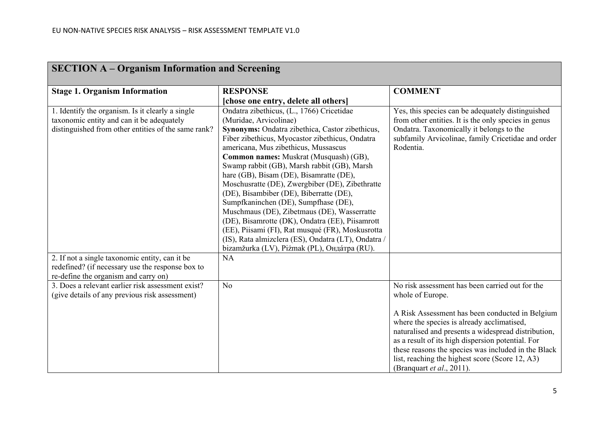| <b>SECTION A – Organism Information and Screening</b>                                                                                                |                                                                                                                                                                                                                                                                                                                                                                                                                                                                                                                                                                                                                                                                                                                                                          |                                                                                                                                                                                                                                                                                                                                                                                                                         |
|------------------------------------------------------------------------------------------------------------------------------------------------------|----------------------------------------------------------------------------------------------------------------------------------------------------------------------------------------------------------------------------------------------------------------------------------------------------------------------------------------------------------------------------------------------------------------------------------------------------------------------------------------------------------------------------------------------------------------------------------------------------------------------------------------------------------------------------------------------------------------------------------------------------------|-------------------------------------------------------------------------------------------------------------------------------------------------------------------------------------------------------------------------------------------------------------------------------------------------------------------------------------------------------------------------------------------------------------------------|
| <b>Stage 1. Organism Information</b>                                                                                                                 | <b>RESPONSE</b>                                                                                                                                                                                                                                                                                                                                                                                                                                                                                                                                                                                                                                                                                                                                          | <b>COMMENT</b>                                                                                                                                                                                                                                                                                                                                                                                                          |
|                                                                                                                                                      | [chose one entry, delete all others]                                                                                                                                                                                                                                                                                                                                                                                                                                                                                                                                                                                                                                                                                                                     |                                                                                                                                                                                                                                                                                                                                                                                                                         |
| 1. Identify the organism. Is it clearly a single<br>taxonomic entity and can it be adequately<br>distinguished from other entities of the same rank? | Ondatra zibethicus, (L., 1766) Cricetidae<br>(Muridae, Arvicolinae)<br>Synonyms: Ondatra zibethica, Castor zibethicus,<br>Fiber zibethicus, Myocastor zibethicus, Ondatra<br>americana, Mus zibethicus, Mussascus<br>Common names: Muskrat (Musquash) (GB),<br>Swamp rabbit (GB), Marsh rabbit (GB), Marsh<br>hare (GB), Bisam (DE), Bisamratte (DE),<br>Moschusratte (DE), Zwergbiber (DE), Zibethratte<br>(DE), Bisambiber (DE), Biberratte (DE),<br>Sumpfkaninchen (DE), Sumpfhase (DE),<br>Muschmaus (DE), Zibetmaus (DE), Wasserratte<br>(DE), Bisamrotte (DK), Ondatra (EE), Piisamrott<br>(EE), Piisami (FI), Rat musqué (FR), Moskusrotta<br>(IS), Rata almizclera (ES), Ondatra (LT), Ondatra /<br>bizamžurka (LV), Piżmak (PL), Онда́тра (RU). | Yes, this species can be adequately distinguished<br>from other entities. It is the only species in genus<br>Ondatra. Taxonomically it belongs to the<br>subfamily Arvicolinae, family Cricetidae and order<br>Rodentia.                                                                                                                                                                                                |
| 2. If not a single taxonomic entity, can it be<br>redefined? (if necessary use the response box to<br>re-define the organism and carry on)           | <b>NA</b>                                                                                                                                                                                                                                                                                                                                                                                                                                                                                                                                                                                                                                                                                                                                                |                                                                                                                                                                                                                                                                                                                                                                                                                         |
| 3. Does a relevant earlier risk assessment exist?<br>(give details of any previous risk assessment)                                                  | N <sub>o</sub>                                                                                                                                                                                                                                                                                                                                                                                                                                                                                                                                                                                                                                                                                                                                           | No risk assessment has been carried out for the<br>whole of Europe.<br>A Risk Assessment has been conducted in Belgium<br>where the species is already acclimatised,<br>naturalised and presents a widespread distribution,<br>as a result of its high dispersion potential. For<br>these reasons the species was included in the Black<br>list, reaching the highest score (Score 12, A3)<br>(Branquart et al., 2011). |

### **SECTION A – Organism Information and Screening**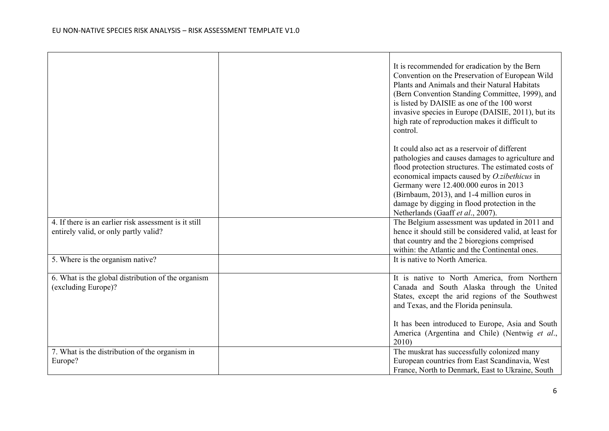|                                                                                                | It is recommended for eradication by the Bern<br>Convention on the Preservation of European Wild<br>Plants and Animals and their Natural Habitats<br>(Bern Convention Standing Committee, 1999), and<br>is listed by DAISIE as one of the 100 worst<br>invasive species in Europe (DAISIE, 2011), but its<br>high rate of reproduction makes it difficult to<br>control.              |
|------------------------------------------------------------------------------------------------|---------------------------------------------------------------------------------------------------------------------------------------------------------------------------------------------------------------------------------------------------------------------------------------------------------------------------------------------------------------------------------------|
|                                                                                                | It could also act as a reservoir of different<br>pathologies and causes damages to agriculture and<br>flood protection structures. The estimated costs of<br>economical impacts caused by O.zibethicus in<br>Germany were 12.400.000 euros in 2013<br>(Birnbaum, 2013), and 1-4 million euros in<br>damage by digging in flood protection in the<br>Netherlands (Gaaff et al., 2007). |
| 4. If there is an earlier risk assessment is it still<br>entirely valid, or only partly valid? | The Belgium assessment was updated in 2011 and<br>hence it should still be considered valid, at least for<br>that country and the 2 bioregions comprised<br>within: the Atlantic and the Continental ones.                                                                                                                                                                            |
| 5. Where is the organism native?                                                               | It is native to North America.                                                                                                                                                                                                                                                                                                                                                        |
| 6. What is the global distribution of the organism<br>(excluding Europe)?                      | It is native to North America, from Northern<br>Canada and South Alaska through the United<br>States, except the arid regions of the Southwest<br>and Texas, and the Florida peninsula.<br>It has been introduced to Europe, Asia and South<br>America (Argentina and Chile) (Nentwig et al.,                                                                                         |
| 7. What is the distribution of the organism in                                                 | 2010<br>The muskrat has successfully colonized many                                                                                                                                                                                                                                                                                                                                   |
| Europe?                                                                                        | European countries from East Scandinavia, West<br>France, North to Denmark, East to Ukraine, South                                                                                                                                                                                                                                                                                    |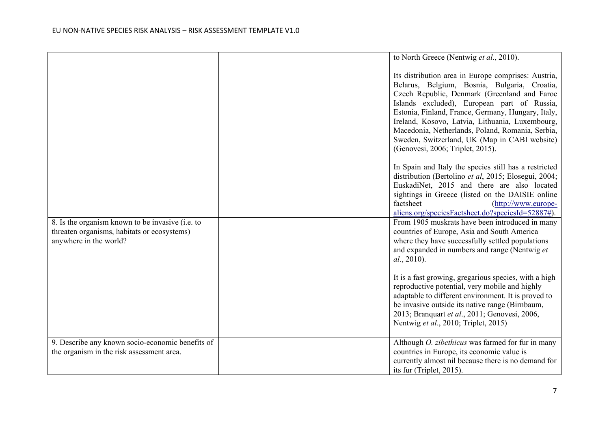|                                                                                                                           | to North Greece (Nentwig et al., 2010).                                                                                                                                                                                                                                                                                                                                                                                                                                                  |
|---------------------------------------------------------------------------------------------------------------------------|------------------------------------------------------------------------------------------------------------------------------------------------------------------------------------------------------------------------------------------------------------------------------------------------------------------------------------------------------------------------------------------------------------------------------------------------------------------------------------------|
|                                                                                                                           | Its distribution area in Europe comprises: Austria,<br>Belarus, Belgium, Bosnia, Bulgaria, Croatia,<br>Czech Republic, Denmark (Greenland and Faroe<br>Islands excluded), European part of Russia,<br>Estonia, Finland, France, Germany, Hungary, Italy,<br>Ireland, Kosovo, Latvia, Lithuania, Luxembourg,<br>Macedonia, Netherlands, Poland, Romania, Serbia,<br>Sweden, Switzerland, UK (Map in CABI website)<br>(Genovesi, 2006; Triplet, 2015).                                     |
|                                                                                                                           | In Spain and Italy the species still has a restricted<br>distribution (Bertolino et al, 2015; Elosegui, 2004;<br>EuskadiNet, 2015 and there are also located<br>sightings in Greece (listed on the DAISIE online<br>factsheet<br>(http://www.europe-<br>aliens.org/speciesFactsheet.do?speciesId=52887#).                                                                                                                                                                                |
| 8. Is the organism known to be invasive (i.e. to<br>threaten organisms, habitats or ecosystems)<br>anywhere in the world? | From 1905 muskrats have been introduced in many<br>countries of Europe, Asia and South America<br>where they have successfully settled populations<br>and expanded in numbers and range (Nentwig et<br>al., 2010).<br>It is a fast growing, gregarious species, with a high<br>reproductive potential, very mobile and highly<br>adaptable to different environment. It is proved to<br>be invasive outside its native range (Birnbaum,<br>2013; Branquart et al., 2011; Genovesi, 2006, |
|                                                                                                                           | Nentwig et al., 2010; Triplet, 2015)                                                                                                                                                                                                                                                                                                                                                                                                                                                     |
| 9. Describe any known socio-economic benefits of<br>the organism in the risk assessment area.                             | Although <i>O. zibethicus</i> was farmed for fur in many<br>countries in Europe, its economic value is<br>currently almost nil because there is no demand for<br>its fur (Triplet, 2015).                                                                                                                                                                                                                                                                                                |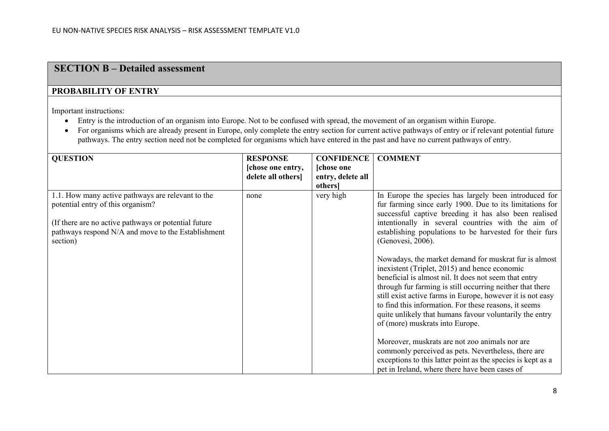## **SECTION B – Detailed assessment**

### **PROBABILITY OF ENTRY**

Important instructions:

- Entry is the introduction of an organism into Europe. Not to be confused with spread, the movement of an organism within Europe.
- For organisms which are already present in Europe, only complete the entry section for current active pathways of entry or if relevant potential future pathways. The entry section need not be completed for organisms which have entered in the past and have no current pathways of entry.

| <b>QUESTION</b>                                      | <b>RESPONSE</b>   | <b>CONFIDENCE</b> | <b>COMMENT</b>                                              |
|------------------------------------------------------|-------------------|-------------------|-------------------------------------------------------------|
|                                                      | [chose one entry, | [chose one]       |                                                             |
|                                                      | delete all others | entry, delete all |                                                             |
|                                                      |                   | others]           |                                                             |
| 1.1. How many active pathways are relevant to the    | none              | very high         | In Europe the species has largely been introduced for       |
| potential entry of this organism?                    |                   |                   | fur farming since early 1900. Due to its limitations for    |
|                                                      |                   |                   | successful captive breeding it has also been realised       |
| (If there are no active pathways or potential future |                   |                   | intentionally in several countries with the aim of          |
| pathways respond N/A and move to the Establishment   |                   |                   | establishing populations to be harvested for their furs     |
| section)                                             |                   |                   | (Genovesi, 2006).                                           |
|                                                      |                   |                   |                                                             |
|                                                      |                   |                   | Nowadays, the market demand for muskrat fur is almost       |
|                                                      |                   |                   | inexistent (Triplet, 2015) and hence economic               |
|                                                      |                   |                   | beneficial is almost nil. It does not seem that entry       |
|                                                      |                   |                   | through fur farming is still occurring neither that there   |
|                                                      |                   |                   | still exist active farms in Europe, however it is not easy  |
|                                                      |                   |                   | to find this information. For these reasons, it seems       |
|                                                      |                   |                   | quite unlikely that humans favour voluntarily the entry     |
|                                                      |                   |                   | of (more) muskrats into Europe.                             |
|                                                      |                   |                   |                                                             |
|                                                      |                   |                   | Moreover, muskrats are not zoo animals nor are              |
|                                                      |                   |                   | commonly perceived as pets. Nevertheless, there are         |
|                                                      |                   |                   | exceptions to this latter point as the species is kept as a |
|                                                      |                   |                   | pet in Ireland, where there have been cases of              |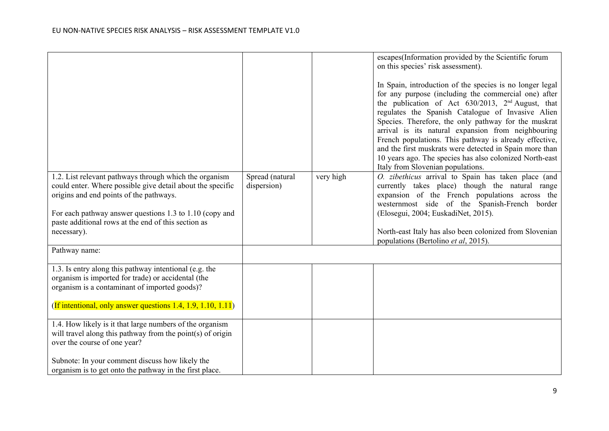|                                                                                                                                                                                                                                                                                                                   |                                |           | escapes(Information provided by the Scientific forum<br>on this species' risk assessment).<br>In Spain, introduction of the species is no longer legal<br>for any purpose (including the commercial one) after<br>the publication of Act 630/2013, 2 <sup>nd</sup> August, that<br>regulates the Spanish Catalogue of Invasive Alien<br>Species. Therefore, the only pathway for the muskrat<br>arrival is its natural expansion from neighbouring<br>French populations. This pathway is already effective,<br>and the first muskrats were detected in Spain more than<br>10 years ago. The species has also colonized North-east<br>Italy from Slovenian populations. |
|-------------------------------------------------------------------------------------------------------------------------------------------------------------------------------------------------------------------------------------------------------------------------------------------------------------------|--------------------------------|-----------|-------------------------------------------------------------------------------------------------------------------------------------------------------------------------------------------------------------------------------------------------------------------------------------------------------------------------------------------------------------------------------------------------------------------------------------------------------------------------------------------------------------------------------------------------------------------------------------------------------------------------------------------------------------------------|
| 1.2. List relevant pathways through which the organism<br>could enter. Where possible give detail about the specific<br>origins and end points of the pathways.<br>For each pathway answer questions 1.3 to 1.10 (copy and<br>paste additional rows at the end of this section as<br>necessary).<br>Pathway name: | Spread (natural<br>dispersion) | very high | O. zibethicus arrival to Spain has taken place (and<br>currently takes place) though the natural range<br>expansion of the French populations across the<br>westernmost side of the Spanish-French border<br>(Elosegui, 2004; EuskadiNet, 2015).<br>North-east Italy has also been colonized from Slovenian<br>populations (Bertolino et al, 2015).                                                                                                                                                                                                                                                                                                                     |
| 1.3. Is entry along this pathway intentional (e.g. the<br>organism is imported for trade) or accidental (the<br>organism is a contaminant of imported goods)?<br>(If intentional, only answer questions 1.4, 1.9, 1.10, 1.11)                                                                                     |                                |           |                                                                                                                                                                                                                                                                                                                                                                                                                                                                                                                                                                                                                                                                         |
| 1.4. How likely is it that large numbers of the organism<br>will travel along this pathway from the point(s) of origin<br>over the course of one year?<br>Subnote: In your comment discuss how likely the<br>organism is to get onto the pathway in the first place.                                              |                                |           |                                                                                                                                                                                                                                                                                                                                                                                                                                                                                                                                                                                                                                                                         |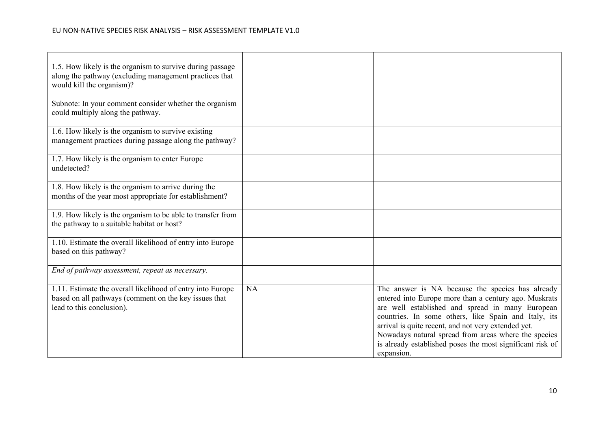| 1.5. How likely is the organism to survive during passage<br>along the pathway (excluding management practices that<br>would kill the organism)? |    |                                                                                                                                                                                                                                                                                                                                                                                                                 |
|--------------------------------------------------------------------------------------------------------------------------------------------------|----|-----------------------------------------------------------------------------------------------------------------------------------------------------------------------------------------------------------------------------------------------------------------------------------------------------------------------------------------------------------------------------------------------------------------|
| Subnote: In your comment consider whether the organism<br>could multiply along the pathway.                                                      |    |                                                                                                                                                                                                                                                                                                                                                                                                                 |
| 1.6. How likely is the organism to survive existing<br>management practices during passage along the pathway?                                    |    |                                                                                                                                                                                                                                                                                                                                                                                                                 |
| 1.7. How likely is the organism to enter Europe<br>undetected?                                                                                   |    |                                                                                                                                                                                                                                                                                                                                                                                                                 |
| 1.8. How likely is the organism to arrive during the<br>months of the year most appropriate for establishment?                                   |    |                                                                                                                                                                                                                                                                                                                                                                                                                 |
| 1.9. How likely is the organism to be able to transfer from<br>the pathway to a suitable habitat or host?                                        |    |                                                                                                                                                                                                                                                                                                                                                                                                                 |
| 1.10. Estimate the overall likelihood of entry into Europe<br>based on this pathway?                                                             |    |                                                                                                                                                                                                                                                                                                                                                                                                                 |
| End of pathway assessment, repeat as necessary.                                                                                                  |    |                                                                                                                                                                                                                                                                                                                                                                                                                 |
| 1.11. Estimate the overall likelihood of entry into Europe<br>based on all pathways (comment on the key issues that<br>lead to this conclusion). | NA | The answer is NA because the species has already<br>entered into Europe more than a century ago. Muskrats<br>are well established and spread in many European<br>countries. In some others, like Spain and Italy, its<br>arrival is quite recent, and not very extended yet.<br>Nowadays natural spread from areas where the species<br>is already established poses the most significant risk of<br>expansion. |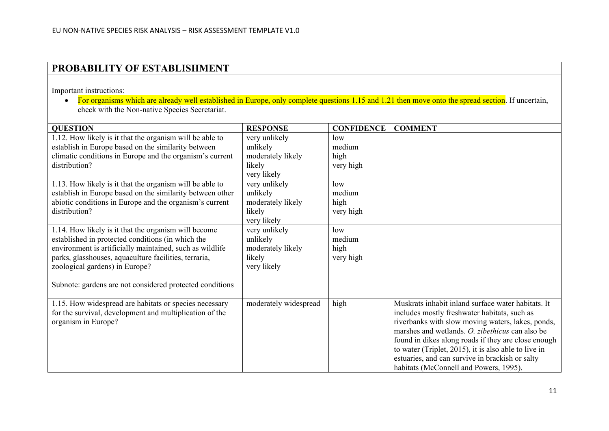## **PROBABILITY OF ESTABLISHMENT**

Important instructions:

• For organisms which are already well established in Europe, only complete questions 1.15 and 1.21 then move onto the spread section. If uncertain, check with the Non-native Species Secretariat.

| <b>QUESTION</b>                                                                                                                                                                                                                                                                                                              | <b>RESPONSE</b>                                                         | <b>CONFIDENCE</b>                  | <b>COMMENT</b>                                                                                                                                                                                                                                                                                                                                                                                                         |
|------------------------------------------------------------------------------------------------------------------------------------------------------------------------------------------------------------------------------------------------------------------------------------------------------------------------------|-------------------------------------------------------------------------|------------------------------------|------------------------------------------------------------------------------------------------------------------------------------------------------------------------------------------------------------------------------------------------------------------------------------------------------------------------------------------------------------------------------------------------------------------------|
| 1.12. How likely is it that the organism will be able to<br>establish in Europe based on the similarity between<br>climatic conditions in Europe and the organism's current<br>distribution?                                                                                                                                 | very unlikely<br>unlikely<br>moderately likely<br>likely<br>very likely | low<br>medium<br>high<br>very high |                                                                                                                                                                                                                                                                                                                                                                                                                        |
| 1.13. How likely is it that the organism will be able to<br>establish in Europe based on the similarity between other<br>abiotic conditions in Europe and the organism's current<br>distribution?                                                                                                                            | very unlikely<br>unlikely<br>moderately likely<br>likely<br>very likely | low<br>medium<br>high<br>very high |                                                                                                                                                                                                                                                                                                                                                                                                                        |
| 1.14. How likely is it that the organism will become<br>established in protected conditions (in which the<br>environment is artificially maintained, such as wildlife<br>parks, glasshouses, aquaculture facilities, terraria,<br>zoological gardens) in Europe?<br>Subnote: gardens are not considered protected conditions | very unlikely<br>unlikely<br>moderately likely<br>likely<br>very likely | low<br>medium<br>high<br>very high |                                                                                                                                                                                                                                                                                                                                                                                                                        |
| 1.15. How widespread are habitats or species necessary<br>for the survival, development and multiplication of the<br>organism in Europe?                                                                                                                                                                                     | moderately widespread                                                   | high                               | Muskrats inhabit inland surface water habitats. It<br>includes mostly freshwater habitats, such as<br>riverbanks with slow moving waters, lakes, ponds,<br>marshes and wetlands. O. zibethicus can also be<br>found in dikes along roads if they are close enough<br>to water (Triplet, 2015), it is also able to live in<br>estuaries, and can survive in brackish or salty<br>habitats (McConnell and Powers, 1995). |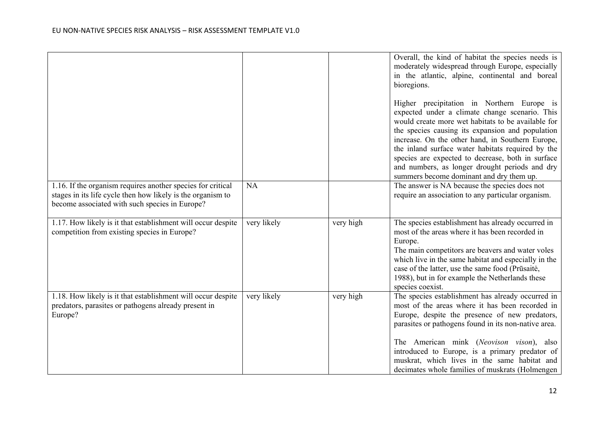|                                                                                                                                                                              |             |           | Overall, the kind of habitat the species needs is<br>moderately widespread through Europe, especially<br>in the atlantic, alpine, continental and boreal<br>bioregions.                                                                                                                                                                                                                                                                                            |
|------------------------------------------------------------------------------------------------------------------------------------------------------------------------------|-------------|-----------|--------------------------------------------------------------------------------------------------------------------------------------------------------------------------------------------------------------------------------------------------------------------------------------------------------------------------------------------------------------------------------------------------------------------------------------------------------------------|
|                                                                                                                                                                              |             |           | Higher precipitation in Northern Europe is<br>expected under a climate change scenario. This<br>would create more wet habitats to be available for<br>the species causing its expansion and population<br>increase. On the other hand, in Southern Europe,<br>the inland surface water habitats required by the<br>species are expected to decrease, both in surface<br>and numbers, as longer drought periods and dry<br>summers become dominant and dry them up. |
| 1.16. If the organism requires another species for critical<br>stages in its life cycle then how likely is the organism to<br>become associated with such species in Europe? | <b>NA</b>   |           | The answer is NA because the species does not<br>require an association to any particular organism.                                                                                                                                                                                                                                                                                                                                                                |
| 1.17. How likely is it that establishment will occur despite<br>competition from existing species in Europe?                                                                 | very likely | very high | The species establishment has already occurred in<br>most of the areas where it has been recorded in<br>Europe.<br>The main competitors are beavers and water voles<br>which live in the same habitat and especially in the<br>case of the latter, use the same food (Prūsaitė,<br>1988), but in for example the Netherlands these<br>species coexist.                                                                                                             |
| 1.18. How likely is it that establishment will occur despite<br>predators, parasites or pathogens already present in<br>Europe?                                              | very likely | very high | The species establishment has already occurred in<br>most of the areas where it has been recorded in<br>Europe, despite the presence of new predators,<br>parasites or pathogens found in its non-native area.<br>The American mink (Neovison vison), also<br>introduced to Europe, is a primary predator of<br>muskrat, which lives in the same habitat and<br>decimates whole families of muskrats (Holmengen                                                    |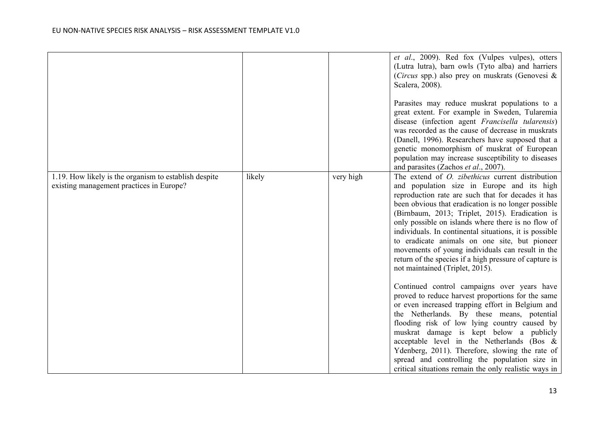|                                                                                                   |        |           | et al., 2009). Red fox (Vulpes vulpes), otters<br>(Lutra lutra), barn owls (Tyto alba) and harriers<br>( <i>Circus</i> spp.) also prey on muskrats ( <i>Genovesi</i> &<br>Scalera, 2008).<br>Parasites may reduce muskrat populations to a<br>great extent. For example in Sweden, Tularemia<br>disease (infection agent Francisella tularensis)<br>was recorded as the cause of decrease in muskrats<br>(Danell, 1996). Researchers have supposed that a<br>genetic monomorphism of muskrat of European<br>population may increase susceptibility to diseases<br>and parasites (Zachos et al., 2007). |
|---------------------------------------------------------------------------------------------------|--------|-----------|--------------------------------------------------------------------------------------------------------------------------------------------------------------------------------------------------------------------------------------------------------------------------------------------------------------------------------------------------------------------------------------------------------------------------------------------------------------------------------------------------------------------------------------------------------------------------------------------------------|
| 1.19. How likely is the organism to establish despite<br>existing management practices in Europe? | likely | very high | The extend of <i>O. zibethicus</i> current distribution<br>and population size in Europe and its high<br>reproduction rate are such that for decades it has<br>been obvious that eradication is no longer possible<br>(Birnbaum, 2013; Triplet, 2015). Eradication is<br>only possible on islands where there is no flow of<br>individuals. In continental situations, it is possible<br>to eradicate animals on one site, but pioneer<br>movements of young individuals can result in the<br>return of the species if a high pressure of capture is<br>not maintained (Triplet, 2015).                |
|                                                                                                   |        |           | Continued control campaigns over years have<br>proved to reduce harvest proportions for the same<br>or even increased trapping effort in Belgium and<br>the Netherlands. By these means, potential<br>flooding risk of low lying country caused by<br>muskrat damage is kept below a publicly<br>acceptable level in the Netherlands (Bos &<br>Ydenberg, 2011). Therefore, slowing the rate of<br>spread and controlling the population size in<br>critical situations remain the only realistic ways in                                                                                               |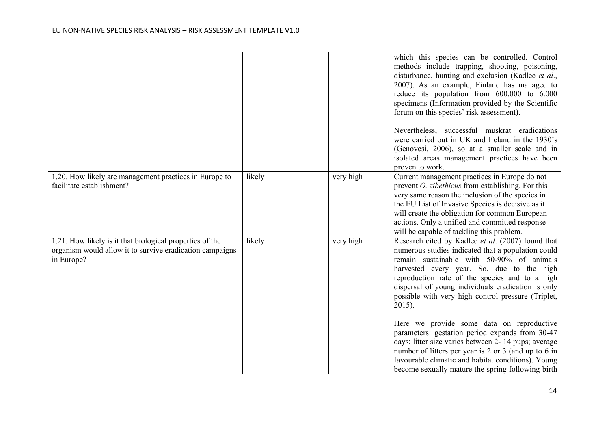|                                                                                                                                    |        |           | which this species can be controlled. Control<br>methods include trapping, shooting, poisoning,<br>disturbance, hunting and exclusion (Kadlec et al.,<br>2007). As an example, Finland has managed to<br>reduce its population from 600.000 to 6.000<br>specimens (Information provided by the Scientific<br>forum on this species' risk assessment).<br>Nevertheless, successful muskrat eradications<br>were carried out in UK and Ireland in the 1930's<br>(Genovesi, 2006), so at a smaller scale and in<br>isolated areas management practices have been<br>proven to work. |
|------------------------------------------------------------------------------------------------------------------------------------|--------|-----------|----------------------------------------------------------------------------------------------------------------------------------------------------------------------------------------------------------------------------------------------------------------------------------------------------------------------------------------------------------------------------------------------------------------------------------------------------------------------------------------------------------------------------------------------------------------------------------|
| 1.20. How likely are management practices in Europe to<br>facilitate establishment?                                                | likely | very high | Current management practices in Europe do not<br>prevent <i>O. zibethicus</i> from establishing. For this<br>very same reason the inclusion of the species in<br>the EU List of Invasive Species is decisive as it<br>will create the obligation for common European<br>actions. Only a unified and committed response<br>will be capable of tackling this problem.                                                                                                                                                                                                              |
| 1.21. How likely is it that biological properties of the<br>organism would allow it to survive eradication campaigns<br>in Europe? | likely | very high | Research cited by Kadlec et al. (2007) found that<br>numerous studies indicated that a population could<br>remain sustainable with 50-90% of animals<br>harvested every year. So, due to the high<br>reproduction rate of the species and to a high<br>dispersal of young individuals eradication is only<br>possible with very high control pressure (Triplet,<br>2015).<br>Here we provide some data on reproductive                                                                                                                                                           |
|                                                                                                                                    |        |           | parameters: gestation period expands from 30-47<br>days; litter size varies between 2- 14 pups; average<br>number of litters per year is 2 or 3 (and up to 6 in<br>favourable climatic and habitat conditions). Young<br>become sexually mature the spring following birth                                                                                                                                                                                                                                                                                                       |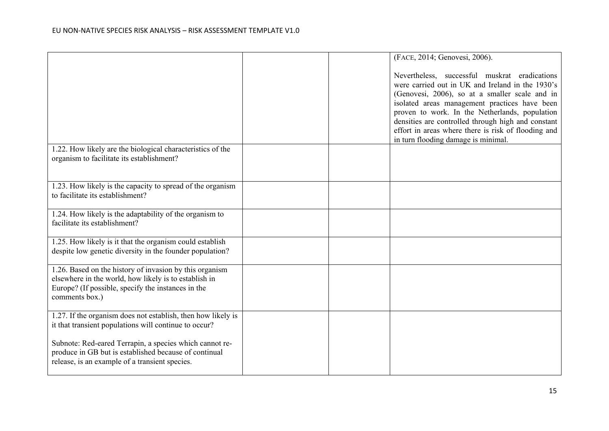|                                                                                                                                                                                          |  | (FACE, 2014; Genovesi, 2006).                                                                                                                                                                                                                                                                                                                                                                              |
|------------------------------------------------------------------------------------------------------------------------------------------------------------------------------------------|--|------------------------------------------------------------------------------------------------------------------------------------------------------------------------------------------------------------------------------------------------------------------------------------------------------------------------------------------------------------------------------------------------------------|
|                                                                                                                                                                                          |  | Nevertheless, successful muskrat eradications<br>were carried out in UK and Ireland in the 1930's<br>(Genovesi, 2006), so at a smaller scale and in<br>isolated areas management practices have been<br>proven to work. In the Netherlands, population<br>densities are controlled through high and constant<br>effort in areas where there is risk of flooding and<br>in turn flooding damage is minimal. |
| 1.22. How likely are the biological characteristics of the<br>organism to facilitate its establishment?                                                                                  |  |                                                                                                                                                                                                                                                                                                                                                                                                            |
| 1.23. How likely is the capacity to spread of the organism<br>to facilitate its establishment?                                                                                           |  |                                                                                                                                                                                                                                                                                                                                                                                                            |
| 1.24. How likely is the adaptability of the organism to<br>facilitate its establishment?                                                                                                 |  |                                                                                                                                                                                                                                                                                                                                                                                                            |
| 1.25. How likely is it that the organism could establish<br>despite low genetic diversity in the founder population?                                                                     |  |                                                                                                                                                                                                                                                                                                                                                                                                            |
| 1.26. Based on the history of invasion by this organism<br>elsewhere in the world, how likely is to establish in<br>Europe? (If possible, specify the instances in the<br>comments box.) |  |                                                                                                                                                                                                                                                                                                                                                                                                            |
| 1.27. If the organism does not establish, then how likely is<br>it that transient populations will continue to occur?                                                                    |  |                                                                                                                                                                                                                                                                                                                                                                                                            |
| Subnote: Red-eared Terrapin, a species which cannot re-<br>produce in GB but is established because of continual<br>release, is an example of a transient species.                       |  |                                                                                                                                                                                                                                                                                                                                                                                                            |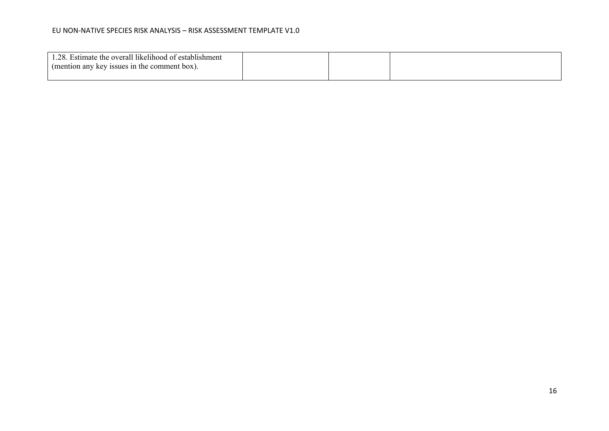| 1.28. Estimate the overall likelihood of establishment |  |  |
|--------------------------------------------------------|--|--|
| (mention any key issues in the comment box).           |  |  |
|                                                        |  |  |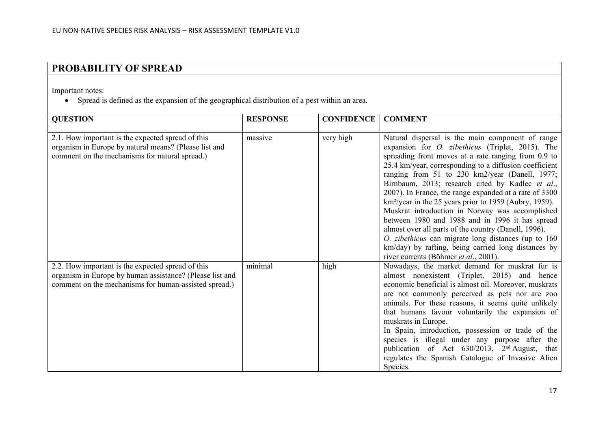# **PROBABILITY OF SPREAD**

Important notes:

• Spread is defined as the expansion of the geographical distribution of a pest within an area.

| <b>QUESTION</b>                                                                                                                                                        | <b>RESPONSE</b> | <b>CONFIDENCE</b> | <b>COMMENT</b>                                                                                                                                                                                                                                                                                                                                                                                                                                                                                                                                                                                                                                                                                                                                                                                   |
|------------------------------------------------------------------------------------------------------------------------------------------------------------------------|-----------------|-------------------|--------------------------------------------------------------------------------------------------------------------------------------------------------------------------------------------------------------------------------------------------------------------------------------------------------------------------------------------------------------------------------------------------------------------------------------------------------------------------------------------------------------------------------------------------------------------------------------------------------------------------------------------------------------------------------------------------------------------------------------------------------------------------------------------------|
| 2.1. How important is the expected spread of this<br>organism in Europe by natural means? (Please list and<br>comment on the mechanisms for natural spread.)           | massive         | very high         | Natural dispersal is the main component of range<br>expansion for <i>O. zibethicus</i> (Triplet, 2015). The<br>spreading front moves at a rate ranging from 0.9 to<br>25.4 km/year, corresponding to a diffusion coefficient<br>ranging from 51 to 230 km2/year (Danell, 1977;<br>Birnbaum, 2013; research cited by Kadlec et al.,<br>2007). In France, the range expanded at a rate of 3300<br>km <sup>2</sup> /year in the 25 years prior to 1959 (Aubry, 1959).<br>Muskrat introduction in Norway was accomplished<br>between 1980 and 1988 and in 1996 it has spread<br>almost over all parts of the country (Danell, 1996).<br><i>O. zibethicus</i> can migrate long distances (up to $160$<br>km/day) by rafting, being carried long distances by<br>river currents (Böhmer et al., 2001). |
| 2.2. How important is the expected spread of this<br>organism in Europe by human assistance? (Please list and<br>comment on the mechanisms for human-assisted spread.) | minimal         | high              | Nowadays, the market demand for muskrat fur is<br>almost nonexistent (Triplet, 2015) and hence<br>economic beneficial is almost nil. Moreover, muskrats<br>are not commonly perceived as pets nor are zoo<br>animals. For these reasons, it seems quite unlikely<br>that humans favour voluntarily the expansion of<br>muskrats in Europe.<br>In Spain, introduction, possession or trade of the<br>species is illegal under any purpose after the<br>publication of Act 630/2013, 2 <sup>nd</sup> August, that<br>regulates the Spanish Catalogue of Invasive Alien<br>Species.                                                                                                                                                                                                                 |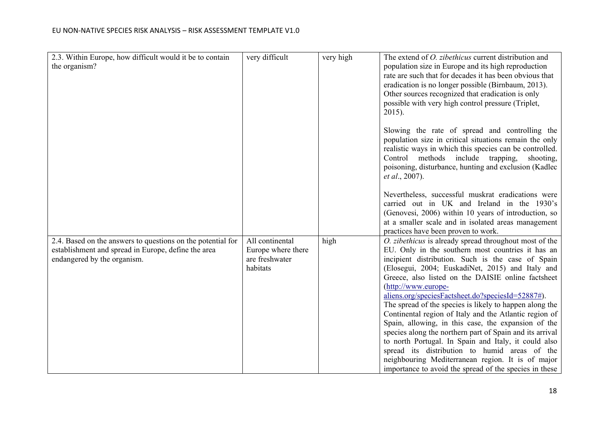| 2.3. Within Europe, how difficult would it be to contain    | very difficult     | very high | The extend of <i>O. zibethicus</i> current distribution and                                             |
|-------------------------------------------------------------|--------------------|-----------|---------------------------------------------------------------------------------------------------------|
| the organism?                                               |                    |           | population size in Europe and its high reproduction                                                     |
|                                                             |                    |           | rate are such that for decades it has been obvious that                                                 |
|                                                             |                    |           | eradication is no longer possible (Birnbaum, 2013).                                                     |
|                                                             |                    |           | Other sources recognized that eradication is only                                                       |
|                                                             |                    |           | possible with very high control pressure (Triplet,                                                      |
|                                                             |                    |           | $2015$ ).                                                                                               |
|                                                             |                    |           |                                                                                                         |
|                                                             |                    |           | Slowing the rate of spread and controlling the                                                          |
|                                                             |                    |           | population size in critical situations remain the only                                                  |
|                                                             |                    |           | realistic ways in which this species can be controlled.                                                 |
|                                                             |                    |           | Control methods include trapping,<br>shooting,<br>poisoning, disturbance, hunting and exclusion (Kadlec |
|                                                             |                    |           | <i>et al.</i> , 2007).                                                                                  |
|                                                             |                    |           |                                                                                                         |
|                                                             |                    |           | Nevertheless, successful muskrat eradications were                                                      |
|                                                             |                    |           | carried out in UK and Ireland in the 1930's                                                             |
|                                                             |                    |           | (Genovesi, 2006) within 10 years of introduction, so                                                    |
|                                                             |                    |           | at a smaller scale and in isolated areas management                                                     |
|                                                             |                    |           | practices have been proven to work.                                                                     |
| 2.4. Based on the answers to questions on the potential for | All continental    | high      | O. zibethicus is already spread throughout most of the                                                  |
| establishment and spread in Europe, define the area         | Europe where there |           | EU. Only in the southern most countries it has an                                                       |
| endangered by the organism.                                 | are freshwater     |           | incipient distribution. Such is the case of Spain                                                       |
|                                                             | habitats           |           | (Elosegui, 2004; EuskadiNet, 2015) and Italy and                                                        |
|                                                             |                    |           | Greece, also listed on the DAISIE online factsheet                                                      |
|                                                             |                    |           | (http://www.europe-                                                                                     |
|                                                             |                    |           | aliens.org/speciesFactsheet.do?speciesId=52887#).                                                       |
|                                                             |                    |           | The spread of the species is likely to happen along the                                                 |
|                                                             |                    |           | Continental region of Italy and the Atlantic region of                                                  |
|                                                             |                    |           | Spain, allowing, in this case, the expansion of the                                                     |
|                                                             |                    |           | species along the northern part of Spain and its arrival                                                |
|                                                             |                    |           | to north Portugal. In Spain and Italy, it could also                                                    |
|                                                             |                    |           | spread its distribution to humid areas of the                                                           |
|                                                             |                    |           | neighbouring Mediterranean region. It is of major                                                       |
|                                                             |                    |           | importance to avoid the spread of the species in these                                                  |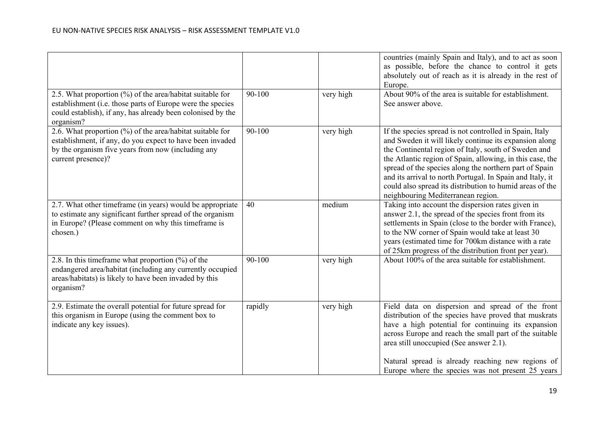|                                                                                                                                                                                                       |            |           | countries (mainly Spain and Italy), and to act as soon<br>as possible, before the chance to control it gets<br>absolutely out of reach as it is already in the rest of<br>Europe.                                                                                                                                                                                                                                                                               |
|-------------------------------------------------------------------------------------------------------------------------------------------------------------------------------------------------------|------------|-----------|-----------------------------------------------------------------------------------------------------------------------------------------------------------------------------------------------------------------------------------------------------------------------------------------------------------------------------------------------------------------------------------------------------------------------------------------------------------------|
| 2.5. What proportion (%) of the area/habitat suitable for<br>establishment (i.e. those parts of Europe were the species<br>could establish), if any, has already been colonised by the<br>organism?   | $90 - 100$ | very high | About 90% of the area is suitable for establishment.<br>See answer above.                                                                                                                                                                                                                                                                                                                                                                                       |
| 2.6. What proportion $(\%)$ of the area/habitat suitable for<br>establishment, if any, do you expect to have been invaded<br>by the organism five years from now (including any<br>current presence)? | 90-100     | very high | If the species spread is not controlled in Spain, Italy<br>and Sweden it will likely continue its expansion along<br>the Continental region of Italy, south of Sweden and<br>the Atlantic region of Spain, allowing, in this case, the<br>spread of the species along the northern part of Spain<br>and its arrival to north Portugal. In Spain and Italy, it<br>could also spread its distribution to humid areas of the<br>neighbouring Mediterranean region. |
| 2.7. What other timeframe (in years) would be appropriate<br>to estimate any significant further spread of the organism<br>in Europe? (Please comment on why this timeframe is<br>chosen.)            | 40         | medium    | Taking into account the dispersion rates given in<br>answer 2.1, the spread of the species front from its<br>settlements in Spain (close to the border with France),<br>to the NW corner of Spain would take at least 30<br>years (estimated time for 700km distance with a rate<br>of 25km progress of the distribution front per year).                                                                                                                       |
| 2.8. In this time frame what proportion $(\%)$ of the<br>endangered area/habitat (including any currently occupied<br>areas/habitats) is likely to have been invaded by this<br>organism?             | 90-100     | very high | About 100% of the area suitable for establishment.                                                                                                                                                                                                                                                                                                                                                                                                              |
| 2.9. Estimate the overall potential for future spread for<br>this organism in Europe (using the comment box to<br>indicate any key issues).                                                           | rapidly    | very high | Field data on dispersion and spread of the front<br>distribution of the species have proved that muskrats<br>have a high potential for continuing its expansion<br>across Europe and reach the small part of the suitable<br>area still unoccupied (See answer 2.1).<br>Natural spread is already reaching new regions of<br>Europe where the species was not present 25 years                                                                                  |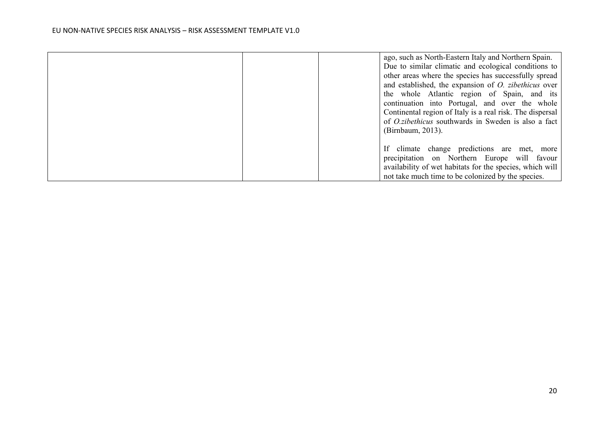|  | ago, such as North-Eastern Italy and Northern Spain.        |
|--|-------------------------------------------------------------|
|  | Due to similar climatic and ecological conditions to        |
|  | other areas where the species has successfully spread       |
|  | and established, the expansion of <i>O. zibethicus</i> over |
|  | the whole Atlantic region of Spain, and its                 |
|  | continuation into Portugal, and over the whole              |
|  | Continental region of Italy is a real risk. The dispersal   |
|  | of <i>O.zibethicus</i> southwards in Sweden is also a fact  |
|  | (Birnbaum, 2013).                                           |
|  |                                                             |
|  | If climate change predictions are met, more                 |
|  | precipitation on Northern Europe will favour                |
|  | availability of wet habitats for the species, which will    |
|  | not take much time to be colonized by the species.          |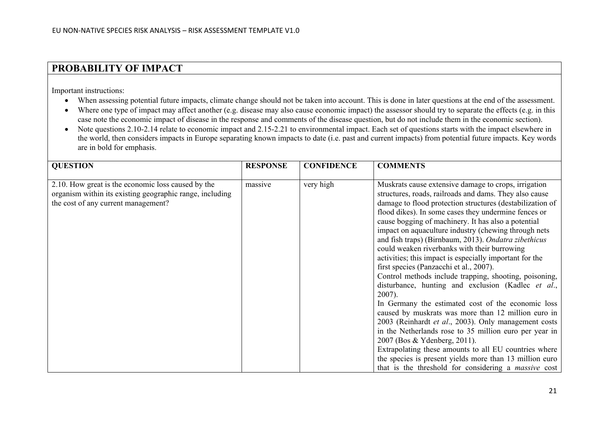## **PROBABILITY OF IMPACT**

Important instructions:

- When assessing potential future impacts, climate change should not be taken into account. This is done in later questions at the end of the assessment.
- Where one type of impact may affect another (e.g. disease may also cause economic impact) the assessor should try to separate the effects (e.g. in this case note the economic impact of disease in the response and comments of the disease question, but do not include them in the economic section).
- Note questions 2.10-2.14 relate to economic impact and 2.15-2.21 to environmental impact. Each set of questions starts with the impact elsewhere in the world, then considers impacts in Europe separating known impacts to date (i.e. past and current impacts) from potential future impacts. Key words are in bold for emphasis.

| <b>QUESTION</b>                                                                                                                                       | <b>RESPONSE</b> | <b>CONFIDENCE</b> | <b>COMMENTS</b>                                                                                                                                                                                                                                                                                                                                                                                                                                                                                                                                                                                                                                                                                                                                                                                                                                                                                                                                                                                                                                                                                                                                 |
|-------------------------------------------------------------------------------------------------------------------------------------------------------|-----------------|-------------------|-------------------------------------------------------------------------------------------------------------------------------------------------------------------------------------------------------------------------------------------------------------------------------------------------------------------------------------------------------------------------------------------------------------------------------------------------------------------------------------------------------------------------------------------------------------------------------------------------------------------------------------------------------------------------------------------------------------------------------------------------------------------------------------------------------------------------------------------------------------------------------------------------------------------------------------------------------------------------------------------------------------------------------------------------------------------------------------------------------------------------------------------------|
| 2.10. How great is the economic loss caused by the<br>organism within its existing geographic range, including<br>the cost of any current management? | massive         | very high         | Muskrats cause extensive damage to crops, irrigation<br>structures, roads, railroads and dams. They also cause<br>damage to flood protection structures (destabilization of<br>flood dikes). In some cases they undermine fences or<br>cause bogging of machinery. It has also a potential<br>impact on aquaculture industry (chewing through nets<br>and fish traps) (Birnbaum, 2013). Ondatra zibethicus<br>could weaken riverbanks with their burrowing<br>activities; this impact is especially important for the<br>first species (Panzacchi et al., 2007).<br>Control methods include trapping, shooting, poisoning,<br>disturbance, hunting and exclusion (Kadlec et al.,<br>$2007$ ).<br>In Germany the estimated cost of the economic loss<br>caused by muskrats was more than 12 million euro in<br>2003 (Reinhardt et al., 2003). Only management costs<br>in the Netherlands rose to 35 million euro per year in<br>2007 (Bos & Ydenberg, 2011).<br>Extrapolating these amounts to all EU countries where<br>the species is present yields more than 13 million euro<br>that is the threshold for considering a <i>massive</i> cost |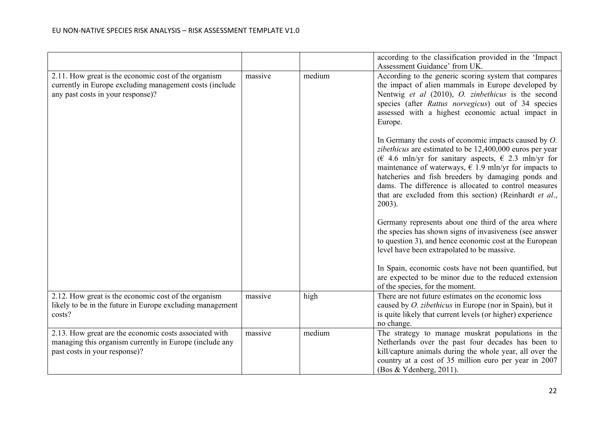|                                                                                                                                                      |         |        | according to the classification provided in the 'Impact<br>Assessment Guidance' from UK.                                                                                                                                                                                                                                                                                                                                                       |
|------------------------------------------------------------------------------------------------------------------------------------------------------|---------|--------|------------------------------------------------------------------------------------------------------------------------------------------------------------------------------------------------------------------------------------------------------------------------------------------------------------------------------------------------------------------------------------------------------------------------------------------------|
| 2.11. How great is the economic cost of the organism<br>currently in Europe excluding management costs (include<br>any past costs in your response)? | massive | medium | According to the generic scoring system that compares<br>the impact of alien mammals in Europe developed by<br>Nentwig et al (2010), O. zinbethicus is the second<br>species (after Rattus norvegicus) out of 34 species<br>assessed with a highest economic actual impact in<br>Europe.                                                                                                                                                       |
|                                                                                                                                                      |         |        | In Germany the costs of economic impacts caused by $O$ .<br>zibethicus are estimated to be 12,400,000 euros per year<br>( $\in$ 4.6 mln/yr for sanitary aspects, $\in$ 2.3 mln/yr for<br>maintenance of waterways, $\epsilon$ 1.9 mln/yr for impacts to<br>hatcheries and fish breeders by damaging ponds and<br>dams. The difference is allocated to control measures<br>that are excluded from this section) (Reinhardt et al.,<br>$2003$ ). |
|                                                                                                                                                      |         |        | Germany represents about one third of the area where<br>the species has shown signs of invasiveness (see answer<br>to question 3), and hence economic cost at the European<br>level have been extrapolated to be massive.<br>In Spain, economic costs have not been quantified, but                                                                                                                                                            |
|                                                                                                                                                      |         |        | are expected to be minor due to the reduced extension<br>of the species, for the moment.                                                                                                                                                                                                                                                                                                                                                       |
| 2.12. How great is the economic cost of the organism<br>likely to be in the future in Europe excluding management<br>costs?                          | massive | high   | There are not future estimates on the economic loss<br>caused by <i>O. zibethicus</i> in Europe (nor in Spain), but it<br>is quite likely that current levels (or higher) experience<br>no change.                                                                                                                                                                                                                                             |
| 2.13. How great are the economic costs associated with<br>managing this organism currently in Europe (include any<br>past costs in your response)?   | massive | medium | The strategy to manage muskrat populations in the<br>Netherlands over the past four decades has been to<br>kill/capture animals during the whole year, all over the<br>country at a cost of 35 million euro per year in 2007<br>(Bos & Ydenberg, 2011).                                                                                                                                                                                        |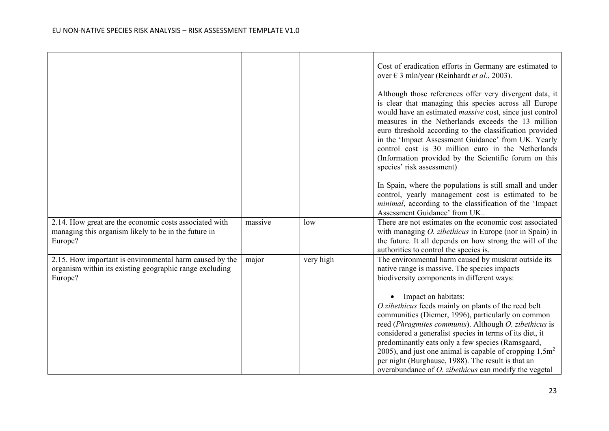|                                                                                                                               |         |           | Cost of eradication efforts in Germany are estimated to<br>over € 3 mln/year (Reinhardt et al., 2003).<br>Although those references offer very divergent data, it<br>is clear that managing this species across all Europe<br>would have an estimated <i>massive</i> cost, since just control<br>measures in the Netherlands exceeds the 13 million<br>euro threshold according to the classification provided<br>in the 'Impact Assessment Guidance' from UK. Yearly<br>control cost is 30 million euro in the Netherlands<br>(Information provided by the Scientific forum on this<br>species' risk assessment)<br>In Spain, where the populations is still small and under<br>control, yearly management cost is estimated to be<br><i>minimal</i> , according to the classification of the 'Impact<br>Assessment Guidance' from UK |
|-------------------------------------------------------------------------------------------------------------------------------|---------|-----------|----------------------------------------------------------------------------------------------------------------------------------------------------------------------------------------------------------------------------------------------------------------------------------------------------------------------------------------------------------------------------------------------------------------------------------------------------------------------------------------------------------------------------------------------------------------------------------------------------------------------------------------------------------------------------------------------------------------------------------------------------------------------------------------------------------------------------------------|
| 2.14. How great are the economic costs associated with<br>managing this organism likely to be in the future in<br>Europe?     | massive | low       | There are not estimates on the economic cost associated<br>with managing <i>O. zibethicus</i> in Europe (nor in Spain) in<br>the future. It all depends on how strong the will of the<br>authorities to control the species is.                                                                                                                                                                                                                                                                                                                                                                                                                                                                                                                                                                                                        |
| 2.15. How important is environmental harm caused by the<br>organism within its existing geographic range excluding<br>Europe? | major   | very high | The environmental harm caused by muskrat outside its<br>native range is massive. The species impacts<br>biodiversity components in different ways:                                                                                                                                                                                                                                                                                                                                                                                                                                                                                                                                                                                                                                                                                     |
|                                                                                                                               |         |           | Impact on habitats:<br>O.zibethicus feeds mainly on plants of the reed belt<br>communities (Diemer, 1996), particularly on common<br>reed (Phragmites communis). Although O. zibethicus is<br>considered a generalist species in terms of its diet, it<br>predominantly eats only a few species (Ramsgaard,<br>2005), and just one animal is capable of cropping $1,5m^2$<br>per night (Burghause, 1988). The result is that an<br>overabundance of <i>O. zibethicus</i> can modify the vegetal                                                                                                                                                                                                                                                                                                                                        |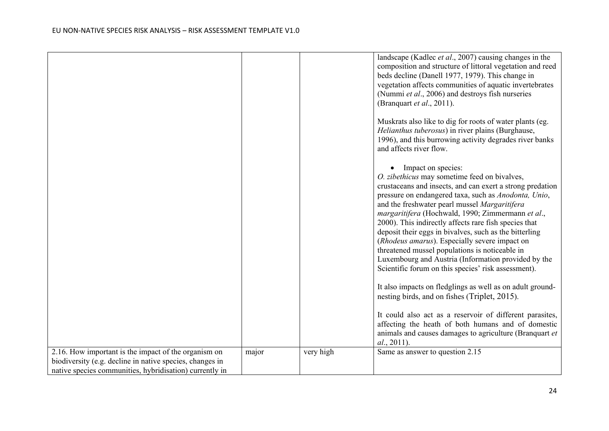|                                                                                                                                                                             |       |           | landscape (Kadlec <i>et al.</i> , 2007) causing changes in the<br>composition and structure of littoral vegetation and reed<br>beds decline (Danell 1977, 1979). This change in<br>vegetation affects communities of aquatic invertebrates<br>(Nummi et al., 2006) and destroys fish nurseries<br>(Branquart et al., 2011).<br>Muskrats also like to dig for roots of water plants (eg.                                                                                                                                                                                                                                                                                                          |
|-----------------------------------------------------------------------------------------------------------------------------------------------------------------------------|-------|-----------|--------------------------------------------------------------------------------------------------------------------------------------------------------------------------------------------------------------------------------------------------------------------------------------------------------------------------------------------------------------------------------------------------------------------------------------------------------------------------------------------------------------------------------------------------------------------------------------------------------------------------------------------------------------------------------------------------|
|                                                                                                                                                                             |       |           | Helianthus tuberosus) in river plains (Burghause,<br>1996), and this burrowing activity degrades river banks<br>and affects river flow.                                                                                                                                                                                                                                                                                                                                                                                                                                                                                                                                                          |
|                                                                                                                                                                             |       |           | • Impact on species:<br>O. zibethicus may sometime feed on bivalves,<br>crustaceans and insects, and can exert a strong predation<br>pressure on endangered taxa, such as Anodonta, Unio,<br>and the freshwater pearl mussel Margaritifera<br>margaritifera (Hochwald, 1990; Zimmermann et al.,<br>2000). This indirectly affects rare fish species that<br>deposit their eggs in bivalves, such as the bitterling<br>(Rhodeus amarus). Especially severe impact on<br>threatened mussel populations is noticeable in<br>Luxembourg and Austria (Information provided by the<br>Scientific forum on this species' risk assessment).<br>It also impacts on fledglings as well as on adult ground- |
|                                                                                                                                                                             |       |           | nesting birds, and on fishes (Triplet, 2015).<br>It could also act as a reservoir of different parasites,<br>affecting the heath of both humans and of domestic<br>animals and causes damages to agriculture (Branquart et<br>al., 2011).                                                                                                                                                                                                                                                                                                                                                                                                                                                        |
| 2.16. How important is the impact of the organism on<br>biodiversity (e.g. decline in native species, changes in<br>native species communities, hybridisation) currently in | major | very high | Same as answer to question 2.15                                                                                                                                                                                                                                                                                                                                                                                                                                                                                                                                                                                                                                                                  |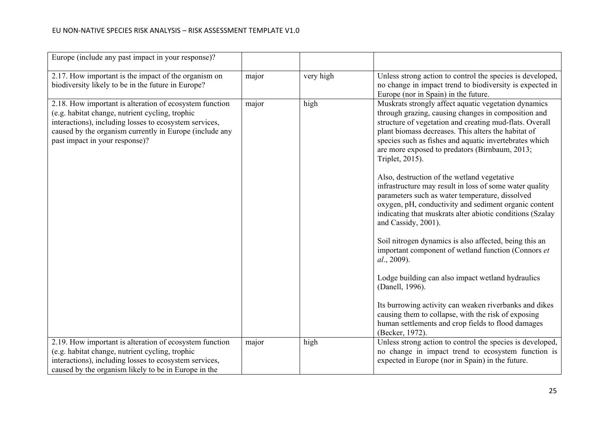| Europe (include any past impact in your response)?                                                                                                                                                                                                                |       |           |                                                                                                                                                                                                                                                                                                                                                                                                                                                                                                                                                                                                                                                                                                                                                                                                                                                                                |
|-------------------------------------------------------------------------------------------------------------------------------------------------------------------------------------------------------------------------------------------------------------------|-------|-----------|--------------------------------------------------------------------------------------------------------------------------------------------------------------------------------------------------------------------------------------------------------------------------------------------------------------------------------------------------------------------------------------------------------------------------------------------------------------------------------------------------------------------------------------------------------------------------------------------------------------------------------------------------------------------------------------------------------------------------------------------------------------------------------------------------------------------------------------------------------------------------------|
| 2.17. How important is the impact of the organism on<br>biodiversity likely to be in the future in Europe?                                                                                                                                                        | major | very high | Unless strong action to control the species is developed,<br>no change in impact trend to biodiversity is expected in<br>Europe (nor in Spain) in the future.                                                                                                                                                                                                                                                                                                                                                                                                                                                                                                                                                                                                                                                                                                                  |
| 2.18. How important is alteration of ecosystem function<br>(e.g. habitat change, nutrient cycling, trophic<br>interactions), including losses to ecosystem services,<br>caused by the organism currently in Europe (include any<br>past impact in your response)? | major | high      | Muskrats strongly affect aquatic vegetation dynamics<br>through grazing, causing changes in composition and<br>structure of vegetation and creating mud-flats. Overall<br>plant biomass decreases. This alters the habitat of<br>species such as fishes and aquatic invertebrates which<br>are more exposed to predators (Birnbaum, 2013;<br>Triplet, 2015).<br>Also, destruction of the wetland vegetative<br>infrastructure may result in loss of some water quality<br>parameters such as water temperature, dissolved<br>oxygen, pH, conductivity and sediment organic content<br>indicating that muskrats alter abiotic conditions (Szalay<br>and Cassidy, 2001).<br>Soil nitrogen dynamics is also affected, being this an<br>important component of wetland function (Connors et<br>al., 2009).<br>Lodge building can also impact wetland hydraulics<br>(Danell, 1996). |
|                                                                                                                                                                                                                                                                   |       |           | Its burrowing activity can weaken riverbanks and dikes<br>causing them to collapse, with the risk of exposing<br>human settlements and crop fields to flood damages<br>(Becker, 1972).                                                                                                                                                                                                                                                                                                                                                                                                                                                                                                                                                                                                                                                                                         |
| 2.19. How important is alteration of ecosystem function<br>(e.g. habitat change, nutrient cycling, trophic<br>interactions), including losses to ecosystem services,<br>caused by the organism likely to be in Europe in the                                      | major | high      | Unless strong action to control the species is developed,<br>no change in impact trend to ecosystem function is<br>expected in Europe (nor in Spain) in the future.                                                                                                                                                                                                                                                                                                                                                                                                                                                                                                                                                                                                                                                                                                            |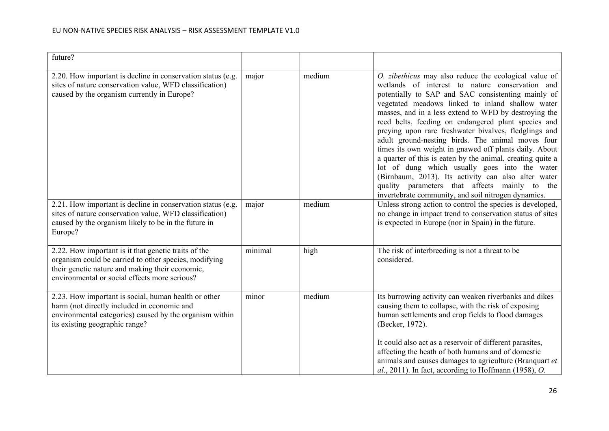| future?                                                                                                                                                                                                           |         |        |                                                                                                                                                                                                                                                                                                                                                                                                                                                                                                                                                                                                                                                                                                                                                                                          |
|-------------------------------------------------------------------------------------------------------------------------------------------------------------------------------------------------------------------|---------|--------|------------------------------------------------------------------------------------------------------------------------------------------------------------------------------------------------------------------------------------------------------------------------------------------------------------------------------------------------------------------------------------------------------------------------------------------------------------------------------------------------------------------------------------------------------------------------------------------------------------------------------------------------------------------------------------------------------------------------------------------------------------------------------------------|
| 2.20. How important is decline in conservation status (e.g.<br>sites of nature conservation value, WFD classification)<br>caused by the organism currently in Europe?                                             | major   | medium | O. zibethicus may also reduce the ecological value of<br>wetlands of interest to nature conservation and<br>potentially to SAP and SAC consistenting mainly of<br>vegetated meadows linked to inland shallow water<br>masses, and in a less extend to WFD by destroying the<br>reed belts, feeding on endangered plant species and<br>preying upon rare freshwater bivalves, fledglings and<br>adult ground-nesting birds. The animal moves four<br>times its own weight in gnawed off plants daily. About<br>a quarter of this is eaten by the animal, creating quite a<br>lot of dung which usually goes into the water<br>(Birnbaum, 2013). Its activity can also alter water<br>quality parameters that affects mainly to the<br>invertebrate community, and soil nitrogen dynamics. |
| 2.21. How important is decline in conservation status (e.g.<br>sites of nature conservation value, WFD classification)<br>caused by the organism likely to be in the future in<br>Europe?                         | major   | medium | Unless strong action to control the species is developed,<br>no change in impact trend to conservation status of sites<br>is expected in Europe (nor in Spain) in the future.                                                                                                                                                                                                                                                                                                                                                                                                                                                                                                                                                                                                            |
| 2.22. How important is it that genetic traits of the<br>organism could be carried to other species, modifying<br>their genetic nature and making their economic,<br>environmental or social effects more serious? | minimal | high   | The risk of interbreeding is not a threat to be<br>considered.                                                                                                                                                                                                                                                                                                                                                                                                                                                                                                                                                                                                                                                                                                                           |
| 2.23. How important is social, human health or other<br>harm (not directly included in economic and<br>environmental categories) caused by the organism within<br>its existing geographic range?                  | minor   | medium | Its burrowing activity can weaken riverbanks and dikes<br>causing them to collapse, with the risk of exposing<br>human settlements and crop fields to flood damages<br>(Becker, 1972).<br>It could also act as a reservoir of different parasites,<br>affecting the heath of both humans and of domestic<br>animals and causes damages to agriculture (Branquart et<br>$al., 2011$ ). In fact, according to Hoffmann (1958), O.                                                                                                                                                                                                                                                                                                                                                          |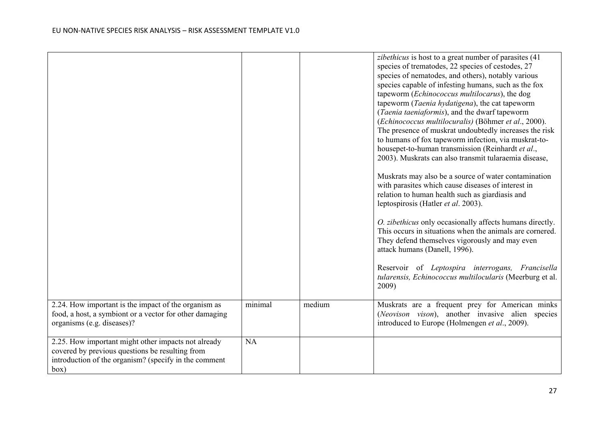|                                                                                                                                                                         |         |        | zibethicus is host to a great number of parasites (41)<br>species of trematodes, 22 species of cestodes, 27<br>species of nematodes, and others), notably various<br>species capable of infesting humans, such as the fox<br>tapeworm (Echinococcus multilocarus), the dog<br>tapeworm (Taenia hydatigena), the cat tapeworm<br>(Taenia taeniaformis), and the dwarf tapeworm<br>(Echinococcus multilocuralis) (Böhmer et al., 2000).<br>The presence of muskrat undoubtedly increases the risk<br>to humans of fox tapeworm infection, via muskrat-to-<br>housepet-to-human transmission (Reinhardt et al.,<br>2003). Muskrats can also transmit tularaemia disease,<br>Muskrats may also be a source of water contamination<br>with parasites which cause diseases of interest in<br>relation to human health such as giardiasis and<br>leptospirosis (Hatler et al. 2003).<br>O. zibethicus only occasionally affects humans directly.<br>This occurs in situations when the animals are cornered.<br>They defend themselves vigorously and may even<br>attack humans (Danell, 1996).<br>Reservoir of Leptospira interrogans, Francisella<br>tularensis, Echinococcus multilocularis (Meerburg et al.<br>2009) |
|-------------------------------------------------------------------------------------------------------------------------------------------------------------------------|---------|--------|-------------------------------------------------------------------------------------------------------------------------------------------------------------------------------------------------------------------------------------------------------------------------------------------------------------------------------------------------------------------------------------------------------------------------------------------------------------------------------------------------------------------------------------------------------------------------------------------------------------------------------------------------------------------------------------------------------------------------------------------------------------------------------------------------------------------------------------------------------------------------------------------------------------------------------------------------------------------------------------------------------------------------------------------------------------------------------------------------------------------------------------------------------------------------------------------------------------------|
| 2.24. How important is the impact of the organism as<br>food, a host, a symbiont or a vector for other damaging<br>organisms (e.g. diseases)?                           | minimal | medium | Muskrats are a frequent prey for American minks<br>(Neovison vison), another invasive alien species<br>introduced to Europe (Holmengen et al., 2009).                                                                                                                                                                                                                                                                                                                                                                                                                                                                                                                                                                                                                                                                                                                                                                                                                                                                                                                                                                                                                                                             |
| 2.25. How important might other impacts not already<br>covered by previous questions be resulting from<br>introduction of the organism? (specify in the comment<br>box) | NA      |        |                                                                                                                                                                                                                                                                                                                                                                                                                                                                                                                                                                                                                                                                                                                                                                                                                                                                                                                                                                                                                                                                                                                                                                                                                   |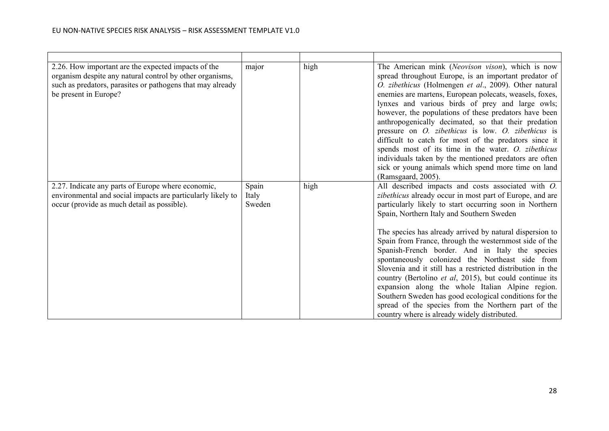| 2.26. How important are the expected impacts of the<br>organism despite any natural control by other organisms,<br>such as predators, parasites or pathogens that may already<br>be present in Europe? | major                    | high | The American mink (Neovison vison), which is now<br>spread throughout Europe, is an important predator of<br>O. zibethicus (Holmengen et al., 2009). Other natural<br>enemies are martens, European polecats, weasels, foxes,<br>lynxes and various birds of prey and large owls;<br>however, the populations of these predators have been<br>anthropogenically decimated, so that their predation<br>pressure on <i>O. zibethicus</i> is low. <i>O. zibethicus</i> is<br>difficult to catch for most of the predators since it<br>spends most of its time in the water. O. zibethicus<br>individuals taken by the mentioned predators are often<br>sick or young animals which spend more time on land<br>(Ramsgaard, 2005).                                                                    |
|--------------------------------------------------------------------------------------------------------------------------------------------------------------------------------------------------------|--------------------------|------|--------------------------------------------------------------------------------------------------------------------------------------------------------------------------------------------------------------------------------------------------------------------------------------------------------------------------------------------------------------------------------------------------------------------------------------------------------------------------------------------------------------------------------------------------------------------------------------------------------------------------------------------------------------------------------------------------------------------------------------------------------------------------------------------------|
| 2.27. Indicate any parts of Europe where economic,<br>environmental and social impacts are particularly likely to<br>occur (provide as much detail as possible).                                       | Spain<br>Italy<br>Sweden | high | All described impacts and costs associated with O.<br>zibethicus already occur in most part of Europe, and are<br>particularly likely to start occurring soon in Northern<br>Spain, Northern Italy and Southern Sweden<br>The species has already arrived by natural dispersion to<br>Spain from France, through the westernmost side of the<br>Spanish-French border. And in Italy the species<br>spontaneously colonized the Northeast side from<br>Slovenia and it still has a restricted distribution in the<br>country (Bertolino et al, 2015), but could continue its<br>expansion along the whole Italian Alpine region.<br>Southern Sweden has good ecological conditions for the<br>spread of the species from the Northern part of the<br>country where is already widely distributed. |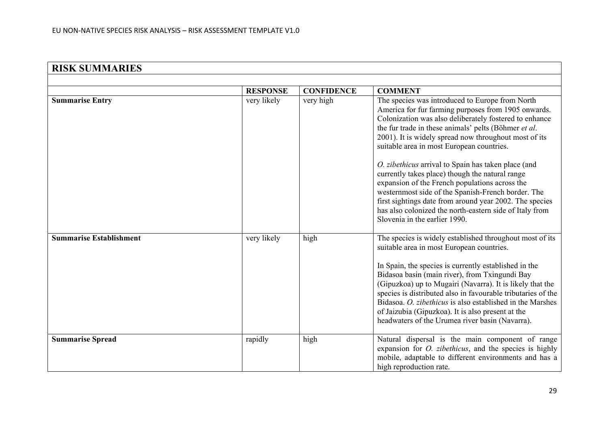| <b>RISK SUMMARIES</b>          |                 |                   |                                                                                                                                                                                                                                                                                                                                                                                                                                                                                                                    |
|--------------------------------|-----------------|-------------------|--------------------------------------------------------------------------------------------------------------------------------------------------------------------------------------------------------------------------------------------------------------------------------------------------------------------------------------------------------------------------------------------------------------------------------------------------------------------------------------------------------------------|
|                                |                 |                   |                                                                                                                                                                                                                                                                                                                                                                                                                                                                                                                    |
|                                | <b>RESPONSE</b> | <b>CONFIDENCE</b> | <b>COMMENT</b>                                                                                                                                                                                                                                                                                                                                                                                                                                                                                                     |
| <b>Summarise Entry</b>         | very likely     | very high         | The species was introduced to Europe from North<br>America for fur farming purposes from 1905 onwards.<br>Colonization was also deliberately fostered to enhance<br>the fur trade in these animals' pelts (Böhmer et al.<br>2001). It is widely spread now throughout most of its<br>suitable area in most European countries.<br>O. zibethicus arrival to Spain has taken place (and                                                                                                                              |
|                                |                 |                   | currently takes place) though the natural range<br>expansion of the French populations across the<br>westernmost side of the Spanish-French border. The<br>first sightings date from around year 2002. The species<br>has also colonized the north-eastern side of Italy from<br>Slovenia in the earlier 1990.                                                                                                                                                                                                     |
| <b>Summarise Establishment</b> | very likely     | high              | The species is widely established throughout most of its<br>suitable area in most European countries.<br>In Spain, the species is currently established in the<br>Bidasoa basin (main river), from Txingundi Bay<br>(Gipuzkoa) up to Mugairi (Navarra). It is likely that the<br>species is distributed also in favourable tributaries of the<br>Bidasoa. O. zibethicus is also established in the Marshes<br>of Jaizubia (Gipuzkoa). It is also present at the<br>headwaters of the Urumea river basin (Navarra). |
| <b>Summarise Spread</b>        | rapidly         | high              | Natural dispersal is the main component of range<br>expansion for <i>O. zibethicus</i> , and the species is highly<br>mobile, adaptable to different environments and has a<br>high reproduction rate.                                                                                                                                                                                                                                                                                                             |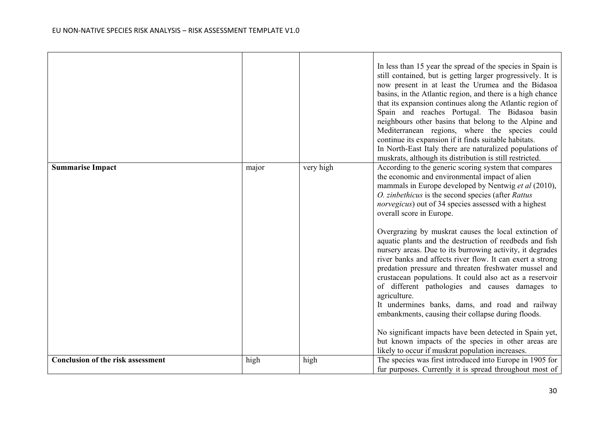|                                          |       |           | In less than 15 year the spread of the species in Spain is<br>still contained, but is getting larger progressively. It is<br>now present in at least the Urumea and the Bidasoa<br>basins, in the Atlantic region, and there is a high chance<br>that its expansion continues along the Atlantic region of<br>Spain and reaches Portugal. The Bidasoa basin<br>neighbours other basins that belong to the Alpine and<br>Mediterranean regions, where the species could<br>continue its expansion if it finds suitable habitats.<br>In North-East Italy there are naturalized populations of<br>muskrats, although its distribution is still restricted. |
|------------------------------------------|-------|-----------|---------------------------------------------------------------------------------------------------------------------------------------------------------------------------------------------------------------------------------------------------------------------------------------------------------------------------------------------------------------------------------------------------------------------------------------------------------------------------------------------------------------------------------------------------------------------------------------------------------------------------------------------------------|
| <b>Summarise Impact</b>                  | major | very high | According to the generic scoring system that compares<br>the economic and environmental impact of alien<br>mammals in Europe developed by Nentwig et al (2010),<br>O. zinbethicus is the second species (after Rattus<br><i>norvegicus</i> ) out of 34 species assessed with a highest<br>overall score in Europe.                                                                                                                                                                                                                                                                                                                                      |
|                                          |       |           | Overgrazing by muskrat causes the local extinction of<br>aquatic plants and the destruction of reedbeds and fish<br>nursery areas. Due to its burrowing activity, it degrades<br>river banks and affects river flow. It can exert a strong<br>predation pressure and threaten freshwater mussel and<br>crustacean populations. It could also act as a reservoir<br>of different pathologies and causes damages to<br>agriculture.<br>It undermines banks, dams, and road and railway<br>embankments, causing their collapse during floods.                                                                                                              |
|                                          |       |           | No significant impacts have been detected in Spain yet,<br>but known impacts of the species in other areas are<br>likely to occur if muskrat population increases.                                                                                                                                                                                                                                                                                                                                                                                                                                                                                      |
| <b>Conclusion of the risk assessment</b> | high  | high      | The species was first introduced into Europe in 1905 for<br>fur purposes. Currently it is spread throughout most of                                                                                                                                                                                                                                                                                                                                                                                                                                                                                                                                     |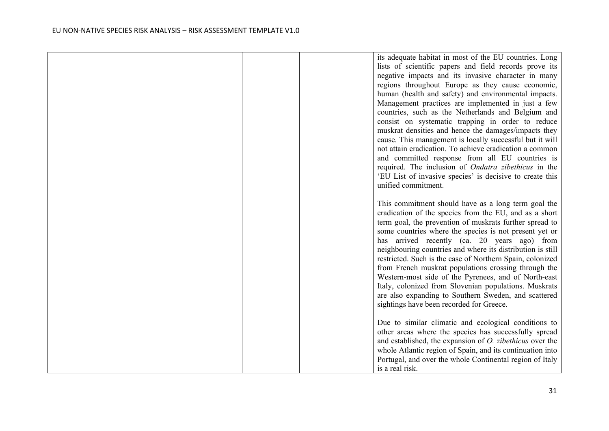|  | its adequate habitat in most of the EU countries. Long<br>lists of scientific papers and field records prove its<br>negative impacts and its invasive character in many<br>regions throughout Europe as they cause economic,<br>human (health and safety) and environmental impacts.<br>Management practices are implemented in just a few<br>countries, such as the Netherlands and Belgium and<br>consist on systematic trapping in order to reduce<br>muskrat densities and hence the damages/impacts they<br>cause. This management is locally successful but it will<br>not attain eradication. To achieve eradication a common<br>and committed response from all EU countries is<br>required. The inclusion of <i>Ondatra zibethicus</i> in the<br>'EU List of invasive species' is decisive to create this<br>unified commitment. |
|--|-------------------------------------------------------------------------------------------------------------------------------------------------------------------------------------------------------------------------------------------------------------------------------------------------------------------------------------------------------------------------------------------------------------------------------------------------------------------------------------------------------------------------------------------------------------------------------------------------------------------------------------------------------------------------------------------------------------------------------------------------------------------------------------------------------------------------------------------|
|  | This commitment should have as a long term goal the<br>eradication of the species from the EU, and as a short<br>term goal, the prevention of muskrats further spread to<br>some countries where the species is not present yet or<br>has arrived recently (ca. 20 years ago) from<br>neighbouring countries and where its distribution is still<br>restricted. Such is the case of Northern Spain, colonized<br>from French muskrat populations crossing through the<br>Western-most side of the Pyrenees, and of North-east<br>Italy, colonized from Slovenian populations. Muskrats<br>are also expanding to Southern Sweden, and scattered<br>sightings have been recorded for Greece.                                                                                                                                                |
|  | Due to similar climatic and ecological conditions to<br>other areas where the species has successfully spread<br>and established, the expansion of $O$ . zibethicus over the<br>whole Atlantic region of Spain, and its continuation into<br>Portugal, and over the whole Continental region of Italy<br>is a real risk.                                                                                                                                                                                                                                                                                                                                                                                                                                                                                                                  |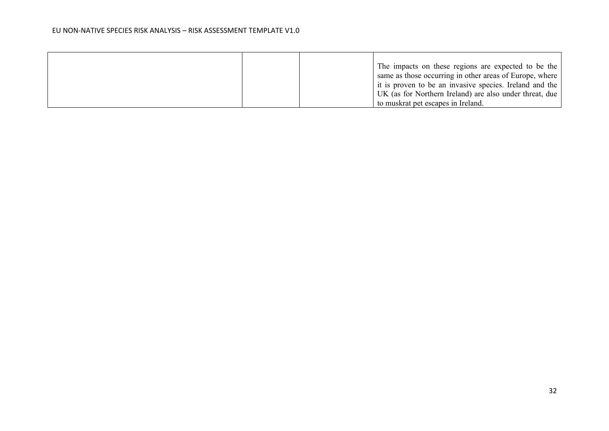|  | The impacts on these regions are expected to be the     |
|--|---------------------------------------------------------|
|  | same as those occurring in other areas of Europe, where |
|  | it is proven to be an invasive species. Ireland and the |
|  | UK (as for Northern Ireland) are also under threat, due |
|  | to muskrat pet escapes in Ireland.                      |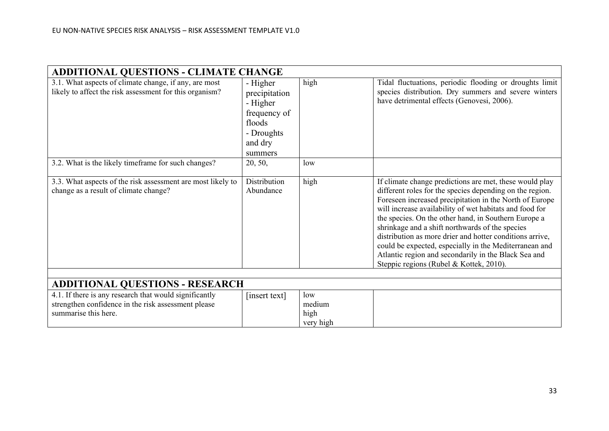| <b>ADDITIONAL QUESTIONS - CLIMATE CHANGE</b>                                                                                          |                                                                                                     |                                    |                                                                                                                                                                                                                                                                                                                                                                                                                                                                                                                                                                               |
|---------------------------------------------------------------------------------------------------------------------------------------|-----------------------------------------------------------------------------------------------------|------------------------------------|-------------------------------------------------------------------------------------------------------------------------------------------------------------------------------------------------------------------------------------------------------------------------------------------------------------------------------------------------------------------------------------------------------------------------------------------------------------------------------------------------------------------------------------------------------------------------------|
| 3.1. What aspects of climate change, if any, are most<br>likely to affect the risk assessment for this organism?                      | - Higher<br>precipitation<br>- Higher<br>frequency of<br>floods<br>- Droughts<br>and dry<br>summers | high                               | Tidal fluctuations, periodic flooding or droughts limit<br>species distribution. Dry summers and severe winters<br>have detrimental effects (Genovesi, 2006).                                                                                                                                                                                                                                                                                                                                                                                                                 |
| 3.2. What is the likely timeframe for such changes?                                                                                   | 20, 50,                                                                                             | low                                |                                                                                                                                                                                                                                                                                                                                                                                                                                                                                                                                                                               |
| 3.3. What aspects of the risk assessment are most likely to<br>change as a result of climate change?                                  | Distribution<br>Abundance                                                                           | high                               | If climate change predictions are met, these would play<br>different roles for the species depending on the region.<br>Foreseen increased precipitation in the North of Europe<br>will increase availability of wet habitats and food for<br>the species. On the other hand, in Southern Europe a<br>shrinkage and a shift northwards of the species<br>distribution as more drier and hotter conditions arrive,<br>could be expected, especially in the Mediterranean and<br>Atlantic region and secondarily in the Black Sea and<br>Steppic regions (Rubel & Kottek, 2010). |
|                                                                                                                                       |                                                                                                     |                                    |                                                                                                                                                                                                                                                                                                                                                                                                                                                                                                                                                                               |
| <b>ADDITIONAL QUESTIONS - RESEARCH</b>                                                                                                |                                                                                                     |                                    |                                                                                                                                                                                                                                                                                                                                                                                                                                                                                                                                                                               |
| 4.1. If there is any research that would significantly<br>strengthen confidence in the risk assessment please<br>summarise this here. | [insert text]                                                                                       | low<br>medium<br>high<br>very high |                                                                                                                                                                                                                                                                                                                                                                                                                                                                                                                                                                               |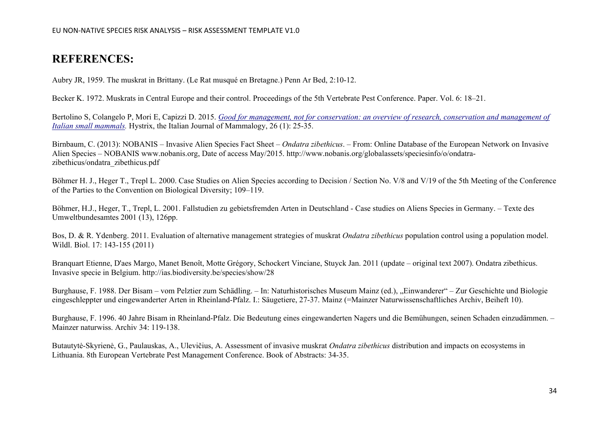## **REFERENCES:**

Aubry JR, 1959. The muskrat in Brittany. (Le Rat musqué en [Bretagne.\)](http://www.cabi.org/isc/abstract/20087208018) Penn Ar Bed, 2:10-12.

Becker K. 1972. Muskrats in Central Europe and their control. Proceedings of the 5th Vertebrate Pest Conference. Paper. Vol. 6: 18–21.

Bertolino S, Colangelo P, Mori E, Capizzi D. 2015. *[Good for management, not for conservation: an overview of research, conservation and management of](https://scholar.google.com/scholar?oi=bibs&cluster=42935583040298062&btnI=1&hl=en)  [Italian small mammals.](https://scholar.google.com/scholar?oi=bibs&cluster=42935583040298062&btnI=1&hl=en)* Hystrix, the Italian Journal of Mammalogy, 26 (1): 25-35.

Birnbaum, C. (2013): NOBANIS – Invasive Alien Species Fact Sheet – *Ondatra zibethicus*. – From: Online Database of the European Network on Invasive Alien Species – NOBANIS www.nobanis.org, Date of access May/2015. [http://www.nobanis.org/globalassets/speciesinfo/o/ondatra](http://www.nobanis.org/globalassets/speciesinfo/o/ondatra-zibethicus/ondatra_zibethicus.pdf)[zibethicus/ondatra\\_zibethicus.pdf](http://www.nobanis.org/globalassets/speciesinfo/o/ondatra-zibethicus/ondatra_zibethicus.pdf)

Böhmer H. J., Heger T., Trepl L. 2000. Case Studies on Alien Species according to Decision / Section No. V/8 and V/19 of the 5th Meeting of the Conference of the Parties to the Convention on Biological Diversity; 109–119.

Böhmer, H.J., Heger, T., Trepl, L. 2001. Fallstudien zu gebietsfremden Arten in Deutschland - Case studies on Aliens Species in Germany. – Texte des Umweltbundesamtes 2001 (13), 126pp.

Bos, D. & R. Ydenberg. 2011. [Evaluation of alternative management strategies of muskrat](http://www.altwym.nl/uploads/file/411_1313652308.pdf) *Ondatra zibethicus* population control using a population model. [Wildl. Biol. 17: 143-155 \(2011\)](http://www.altwym.nl/uploads/file/411_1313652308.pdf)

Branquart Etienne, D'aes Margo, Manet Benoît, Motte Grégory, Schockert Vinciane, Stuyck Jan. 2011 (update – original text 2007). Ondatra zibethicus. Invasive specie in Belgium.<http://ias.biodiversity.be/species/show/28>

Burghause, F. 1988. Der Bisam – vom Pelztier zum Schädling. – In: Naturhistorisches Museum Mainz (ed.), "Einwanderer" – Zur Geschichte und Biologie eingeschleppter und eingewanderter Arten in Rheinland-Pfalz. I.: Säugetiere, 27-37. Mainz (=Mainzer Naturwissenschaftliches Archiv, Beiheft 10).

Burghause, F. 1996. 40 Jahre Bisam in Rheinland-Pfalz. Die Bedeutung eines eingewanderten Nagers und die Bemühungen, seinen Schaden einzudämmen. – Mainzer naturwiss. Archiv 34: 119-138.

Butautytė-Skyrienė, G., Paulauskas, A., Ulevičius, A. Assessment of invasive muskrat *Ondatra zibethicus* distribution and impacts on ecosystems in Lithuania. 8th European Vertebrate Pest Management Conference. Book of Abstracts: 34-35.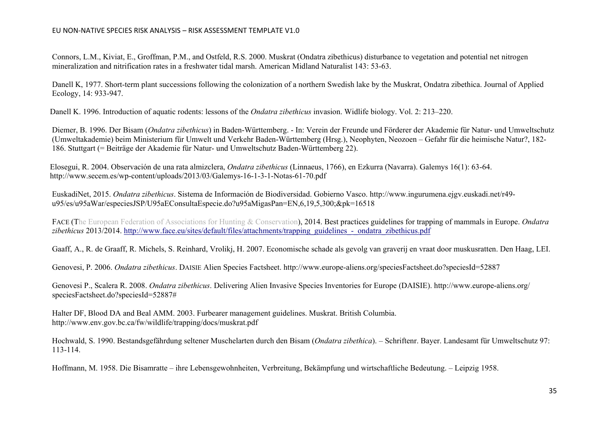Connors, L.M., Kiviat, E., Groffman, P.M., and Ostfeld, R.S. 2000. Muskrat (Ondatra zibethicus) disturbance to vegetation and potential net nitrogen mineralization and nitrification rates in a freshwater tidal marsh. American Midland Naturalist 143: 53-63.

Danell K, 1977. Short-term plant successions following the [colonization](http://www.cabi.org/isc/abstract/20087208024) of a northern Swedish lake by the Muskrat, Ondatra zibethica. Journal of Applied [Ecology,](http://www.cabi.org/isc/abstract/20087208024) 14: 933-947.

Danell K. 1996. Introduction of aquatic rodents: lessons of the *Ondatra zibethicus* invasion. Widlife biology. Vol. 2: 213–220.

Diemer, B. 1996. Der Bisam (*Ondatra zibethicus*) in Baden-Württemberg. - In: Verein der Freunde und Förderer der Akademie für Natur- und Umweltschutz (Umweltakademie) beim Ministerium für Umwelt und Verkehr Baden-Württemberg (Hrsg.), Neophyten, Neozoen – Gefahr für die heimische Natur?, 182- 186. Stuttgart (= Beiträge der Akademie für Natur- und Umweltschutz Baden-Württemberg 22).

Elosegui, R. 2004. Observación de una rata almizclera, *Ondatra zibethicus* (Linnaeus, 1766), en Ezkurra (Navarra). Galemys 16(1): 63-64. <http://www.secem.es/wp-content/uploads/2013/03/Galemys-16-1-3-1-Notas-61-70.pdf>

EuskadiNet, 2015. *Ondatra zibethicus*. Sistema de Información de Biodiversidad. Gobierno Vasco. [http://www.ingurumena.ejgv.euskadi.net/r49](http://www.ingurumena.ejgv.euskadi.net/r49-u95/es/u95aWar/especiesJSP/U95aEConsultaEspecie.do?u95aMigasPan=EN,6,19,5,300;&pk=16518) [u95/es/u95aWar/especiesJSP/U95aEConsultaEspecie.do?u95aMigasPan=EN,6,19,5,300;&pk=16518](http://www.ingurumena.ejgv.euskadi.net/r49-u95/es/u95aWar/especiesJSP/U95aEConsultaEspecie.do?u95aMigasPan=EN,6,19,5,300;&pk=16518)

FACE (The European Federation of Associations for Hunting & Conservation), 2014. Best practices guidelines for trapping of mammals in Europe. *Ondatra zibethicus* 2013/2014. [http://www.face.eu/sites/default/files/attachments/trapping\\_guidelines\\_-\\_ondatra\\_zibethicus.pdf](http://www.face.eu/sites/default/files/attachments/trapping_guidelines_-_ondatra_zibethicus.pdf)

Gaaff, A., R. de Graaff, R. Michels, S. Reinhard, Vrolikj, H. 2007. Economische schade als gevolg van graverij en vraat door muskusratten. Den Haag, LEI.

Genovesi, P. 2006. *Ondatra zibethicus*. DAISIE Alien Species Factsheet.<http://www.europe-aliens.org/speciesFactsheet.do?speciesId=52887>

Genovesi P., Scalera R. 2008. *Ondatra zibethicus*. Delivering Alien Invasive Species Inventories for Europe (DAISIE). http://www.europe-aliens.org/ speciesFactsheet.do?speciesId=52887#

Halter DF, Blood DA and Beal AMM. 2003. Furbearer management guidelines. Muskrat. British Columbia. http://www.env.gov.bc.ca/fw/wildlife/trapping/docs/muskrat.pdf

Hochwald, S. 1990. Bestandsgefährdung seltener Muschelarten durch den Bisam (*Ondatra zibethica*). – Schriftenr. Bayer. Landesamt für Umweltschutz 97: 113-114.

Hoffmann, M. 1958. Die Bisamratte – ihre Lebensgewohnheiten, Verbreitung, Bekämpfung und wirtschaftliche Bedeutung. – Leipzig 1958.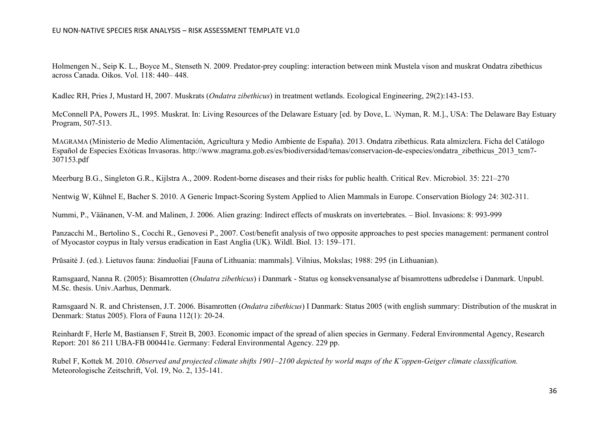Holmengen N., Seip K. L., Boyce M., Stenseth N. 2009. Predator-prey coupling: interaction between mink Mustela vison and muskrat Ondatra zibethicus across Canada. Oikos. Vol. 118: 440– 448.

Kadlec RH, Pries J, Mustard H, 2007. Muskrats (*Ondatra zibethicus*) in treatment wetlands. Ecological Engineering, [29\(2\):143-153.](http://www.cabi.org/isc/abstract/20073134493)

[McConnell](http://www.cabi.org/isc/abstract/20087208059) PA, Powers JL, 1995. Muskrat. In: Living Resources of the Delaware Estuary [ed. by Dove, L. \Nyman, R. M.]., USA: The Delaware Bay Estuary [Program,](http://www.cabi.org/isc/abstract/20087208059) 507-513.

MAGRAMA (Ministerio de Medio Alimentación, Agricultura y Medio Ambiente de España). 2013. Ondatra zibethicus. Rata almizclera. Ficha del Catálogo Español de Especies Exóticas Invasoras. [http://www.magrama.gob.es/es/biodiversidad/temas/conservacion-de-especies/ondatra\\_zibethicus\\_2013\\_tcm7-](http://www.magrama.gob.es/es/biodiversidad/temas/conservacion-de-especies/ondatra_zibethicus_2013_tcm7-307153.pdf) [307153.pdf](http://www.magrama.gob.es/es/biodiversidad/temas/conservacion-de-especies/ondatra_zibethicus_2013_tcm7-307153.pdf)

Meerburg B.G., Singleton G.R., Kijlstra A., 2009. Rodent-borne diseases and their risks for public health. Critical Rev. Microbiol. 35: 221–270

Nentwig W, Kühnel E, Bacher S. 2010. A Generic Impact-Scoring System Applied to Alien Mammals in Europe. Conservation Biology 24: 302-311.

Nummi, P., Väänanen, V-M. and Malinen, J. 2006. Alien grazing: Indirect effects of muskrats on invertebrates. – Biol. Invasions: 8: 993-999

Panzacchi M., Bertolino S., Cocchi R., Genovesi P., 2007. Cost/benefit analysis of two opposite approaches to pest species management: permanent control of Myocastor coypus in Italy versus eradication in East Anglia (UK). Wildl. Biol. 13: 159–171.

Prūsaitė J. (ed.). Lietuvos fauna: žinduoliai [Fauna of Lithuania: mammals]. Vilnius, Mokslas; 1988: 295 (in Lithuanian).

Ramsgaard, Nanna R. (2005): Bisamrotten (*Ondatra zibethicus*) i Danmark - Status og konsekvensanalyse af bisamrottens udbredelse i Danmark. Unpubl. M.Sc. thesis. Univ.Aarhus, Denmark.

Ramsgaard N. R. and Christensen, J.T. 2006. Bisamrotten (*Ondatra zibethicus*) I Danmark: Status 2005 (with english summary: Distribution of the muskrat in Denmark: Status 2005). Flora of Fauna 112(1): 20-24.

Reinhardt F, Herle M, Bastiansen F, Streit B, 2003. Economic impact of the spread of alien species in Germany. Federal [Environmental](http://www.cabi.org/isc/abstract/20077202124) Agency, Research Report: 201 86 211 UBA-FB 000441e. Germany: Federal [Environmental](http://www.cabi.org/isc/abstract/20077202124) Agency. 229 pp.

Rubel F, Kottek M. 2010. *Observed and projected climate shifts 1901–2100 depicted by world maps of the K¨oppen-Geiger climate classification.* Meteorologische Zeitschrift, Vol. 19, No. 2, 135-141.